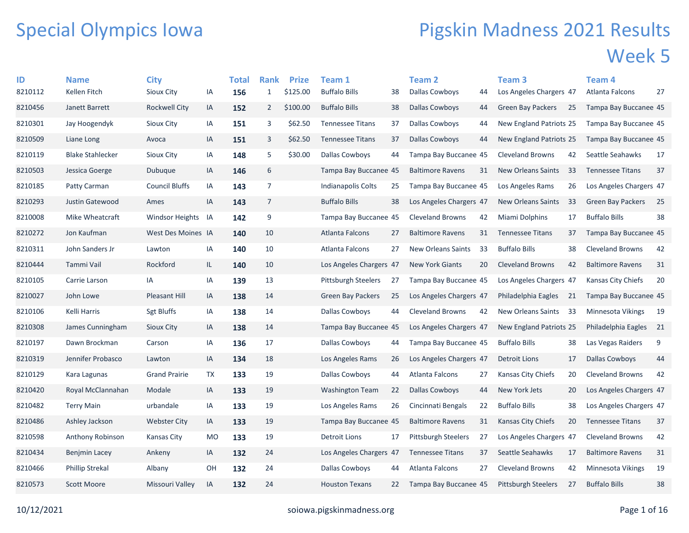## Special Olympics Iowa

## Pigskin Madness 2021 Results Week 5

| ID      | <b>Name</b>             | <b>City</b>           |           | <b>Total</b> | <b>Rank</b>    | <b>Prize</b> | <b>Team 1</b>              |    | <b>Team 2</b>              |     | Team <sub>3</sub>          |     | Team 4                   |    |
|---------|-------------------------|-----------------------|-----------|--------------|----------------|--------------|----------------------------|----|----------------------------|-----|----------------------------|-----|--------------------------|----|
| 8210112 | Kellen Fitch            | <b>Sioux City</b>     | IA        | 156          | $\mathbf{1}$   | \$125.00     | <b>Buffalo Bills</b>       | 38 | Dallas Cowboys             | 44  | Los Angeles Chargers 47    |     | Atlanta Falcons          | 27 |
| 8210456 | Janett Barrett          | <b>Rockwell City</b>  | IA        | 152          | $\overline{2}$ | \$100.00     | <b>Buffalo Bills</b>       | 38 | Dallas Cowboys             | 44  | <b>Green Bay Packers</b>   | 25  | Tampa Bay Buccanee 45    |    |
| 8210301 | Jay Hoogendyk           | Sioux City            | IA        | 151          | 3              | \$62.50      | <b>Tennessee Titans</b>    | 37 | Dallas Cowboys             | 44  | New England Patriots 25    |     | Tampa Bay Buccanee 45    |    |
| 8210509 | Liane Long              | Avoca                 | IA        | 151          | 3              | \$62.50      | <b>Tennessee Titans</b>    | 37 | Dallas Cowboys             | 44  | New England Patriots 25    |     | Tampa Bay Buccanee 45    |    |
| 8210119 | <b>Blake Stahlecker</b> | Sioux City            | IA        | 148          | 5              | \$30.00      | Dallas Cowboys             | 44 | Tampa Bay Buccanee 45      |     | <b>Cleveland Browns</b>    | 42  | Seattle Seahawks         | 17 |
| 8210503 | Jessica Goerge          | Dubuque               | IA        | 146          | 6              |              | Tampa Bay Buccanee 45      |    | <b>Baltimore Ravens</b>    | 31  | New Orleans Saints         | 33  | <b>Tennessee Titans</b>  | 37 |
| 8210185 | Patty Carman            | <b>Council Bluffs</b> | IA        | 143          | $\overline{7}$ |              | Indianapolis Colts         | 25 | Tampa Bay Buccanee 45      |     | Los Angeles Rams           | 26  | Los Angeles Chargers 47  |    |
| 8210293 | Justin Gatewood         | Ames                  | IA        | 143          | $\overline{7}$ |              | <b>Buffalo Bills</b>       | 38 | Los Angeles Chargers 47    |     | <b>New Orleans Saints</b>  | 33  | <b>Green Bay Packers</b> | 25 |
| 8210008 | Mike Wheatcraft         | Windsor Heights       | IA        | 142          | 9              |              | Tampa Bay Buccanee 45      |    | <b>Cleveland Browns</b>    | 42  | Miami Dolphins             | 17  | <b>Buffalo Bills</b>     | 38 |
| 8210272 | Jon Kaufman             | West Des Moines IA    |           | 140          | 10             |              | <b>Atlanta Falcons</b>     | 27 | <b>Baltimore Ravens</b>    | 31  | <b>Tennessee Titans</b>    | 37  | Tampa Bay Buccanee 45    |    |
| 8210311 | John Sanders Jr         | Lawton                | IA        | 140          | 10             |              | Atlanta Falcons            | 27 | New Orleans Saints         | -33 | <b>Buffalo Bills</b>       | 38  | <b>Cleveland Browns</b>  | 42 |
| 8210444 | Tammi Vail              | Rockford              | IL.       | 140          | 10             |              | Los Angeles Chargers 47    |    | <b>New York Giants</b>     | 20  | <b>Cleveland Browns</b>    | 42  | <b>Baltimore Ravens</b>  | 31 |
| 8210105 | Carrie Larson           | IA                    | IA        | 139          | 13             |              | <b>Pittsburgh Steelers</b> | 27 | Tampa Bay Buccanee 45      |     | Los Angeles Chargers 47    |     | Kansas City Chiefs       | 20 |
| 8210027 | John Lowe               | <b>Pleasant Hill</b>  | IA        | 138          | 14             |              | <b>Green Bay Packers</b>   | 25 | Los Angeles Chargers 47    |     | Philadelphia Eagles        | 21  | Tampa Bay Buccanee 45    |    |
| 8210106 | Kelli Harris            | <b>Sgt Bluffs</b>     | IA        | 138          | 14             |              | Dallas Cowboys             | 44 | <b>Cleveland Browns</b>    | 42  | New Orleans Saints         | -33 | Minnesota Vikings        | 19 |
| 8210308 | James Cunningham        | Sioux City            | IA        | 138          | 14             |              | Tampa Bay Buccanee 45      |    | Los Angeles Chargers 47    |     | New England Patriots 25    |     | Philadelphia Eagles      | 21 |
| 8210197 | Dawn Brockman           | Carson                | IA        | 136          | 17             |              | Dallas Cowboys             | 44 | Tampa Bay Buccanee 45      |     | <b>Buffalo Bills</b>       | 38  | Las Vegas Raiders        | 9  |
| 8210319 | Jennifer Probasco       | Lawton                | IA        | 134          | 18             |              | Los Angeles Rams           | 26 | Los Angeles Chargers 47    |     | <b>Detroit Lions</b>       | 17  | Dallas Cowboys           | 44 |
| 8210129 | Kara Lagunas            | <b>Grand Prairie</b>  | TX        | 133          | 19             |              | Dallas Cowboys             | 44 | Atlanta Falcons            | 27  | Kansas City Chiefs         | 20  | <b>Cleveland Browns</b>  | 42 |
| 8210420 | Royal McClannahan       | Modale                | IA        | 133          | 19             |              | <b>Washington Team</b>     | 22 | Dallas Cowboys             | 44  | New York Jets              | 20  | Los Angeles Chargers 47  |    |
| 8210482 | <b>Terry Main</b>       | urbandale             | IA        | 133          | 19             |              | Los Angeles Rams           | 26 | Cincinnati Bengals         | 22  | <b>Buffalo Bills</b>       | 38  | Los Angeles Chargers 47  |    |
| 8210486 | Ashley Jackson          | <b>Webster City</b>   | IA        | 133          | 19             |              | Tampa Bay Buccanee 45      |    | <b>Baltimore Ravens</b>    | 31  | Kansas City Chiefs         | 20  | <b>Tennessee Titans</b>  | 37 |
| 8210598 | Anthony Robinson        | Kansas City           | <b>MO</b> | 133          | 19             |              | Detroit Lions              | 17 | <b>Pittsburgh Steelers</b> | 27  | Los Angeles Chargers 47    |     | <b>Cleveland Browns</b>  | 42 |
| 8210434 | Benjmin Lacey           | Ankeny                | IA        | 132          | 24             |              | Los Angeles Chargers 47    |    | <b>Tennessee Titans</b>    | 37  | Seattle Seahawks           | 17  | <b>Baltimore Ravens</b>  | 31 |
| 8210466 | <b>Phillip Strekal</b>  | Albany                | OH        | 132          | 24             |              | <b>Dallas Cowboys</b>      | 44 | Atlanta Falcons            | 27  | <b>Cleveland Browns</b>    | 42  | Minnesota Vikings        | 19 |
| 8210573 | <b>Scott Moore</b>      | Missouri Valley       | IA        | 132          | 24             |              | <b>Houston Texans</b>      | 22 | Tampa Bay Buccanee 45      |     | <b>Pittsburgh Steelers</b> | 27  | <b>Buffalo Bills</b>     | 38 |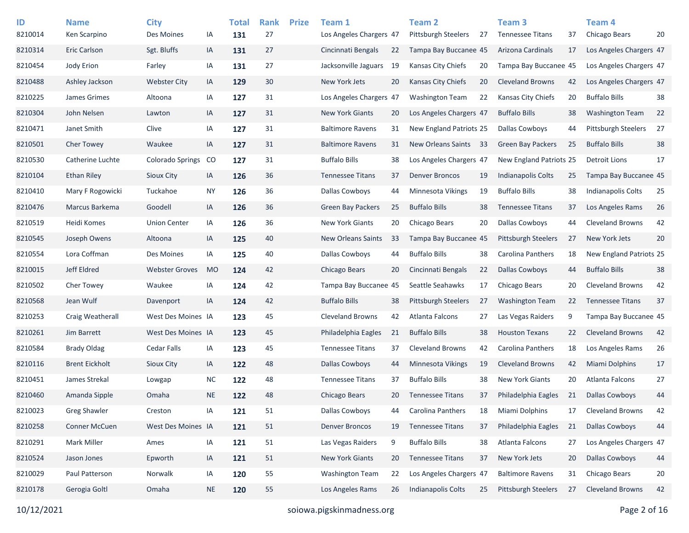| ID<br>8210014 | <b>Name</b><br>Ken Scarpino | <b>City</b><br>Des Moines | IA        | <b>Total</b><br>131 | <b>Rank</b><br>27 | <b>Prize</b> | Team 1<br>Los Angeles Chargers 47 |    | <b>Team 2</b><br><b>Pittsburgh Steelers</b> | 27 | Team <sub>3</sub><br><b>Tennessee Titans</b> | 37 | Team <sub>4</sub><br>Chicago Bears | 20 |
|---------------|-----------------------------|---------------------------|-----------|---------------------|-------------------|--------------|-----------------------------------|----|---------------------------------------------|----|----------------------------------------------|----|------------------------------------|----|
| 8210314       | <b>Eric Carlson</b>         | Sgt. Bluffs               | IA        | 131                 | 27                |              | Cincinnati Bengals                | 22 | Tampa Bay Buccanee 45                       |    | Arizona Cardinals                            | 17 | Los Angeles Chargers 47            |    |
| 8210454       | Jody Erion                  | Farley                    | IA        | 131                 | 27                |              | Jacksonville Jaguars              | 19 | Kansas City Chiefs                          | 20 | Tampa Bay Buccanee 45                        |    | Los Angeles Chargers 47            |    |
| 8210488       | Ashley Jackson              | <b>Webster City</b>       | IA        | 129                 | 30                |              | New York Jets                     | 20 | <b>Kansas City Chiefs</b>                   | 20 | <b>Cleveland Browns</b>                      | 42 | Los Angeles Chargers 47            |    |
| 8210225       | James Grimes                | Altoona                   | IA        | 127                 | 31                |              | Los Angeles Chargers 47           |    | <b>Washington Team</b>                      | 22 | Kansas City Chiefs                           | 20 | <b>Buffalo Bills</b>               | 38 |
| 8210304       | John Nelsen                 | Lawton                    | IA        | 127                 | 31                |              | <b>New York Giants</b>            | 20 | Los Angeles Chargers 47                     |    | <b>Buffalo Bills</b>                         | 38 | <b>Washington Team</b>             | 22 |
| 8210471       | Janet Smith                 | Clive                     | IA        | 127                 | 31                |              | <b>Baltimore Ravens</b>           | 31 | New England Patriots 25                     |    | <b>Dallas Cowboys</b>                        | 44 | <b>Pittsburgh Steelers</b>         | 27 |
| 8210501       | <b>Cher Towey</b>           | Waukee                    | IA        | 127                 | 31                |              | <b>Baltimore Ravens</b>           | 31 | New Orleans Saints 33                       |    | <b>Green Bay Packers</b>                     | 25 | <b>Buffalo Bills</b>               | 38 |
| 8210530       | Catherine Luchte            | <b>Colorado Springs</b>   | CO        | 127                 | 31                |              | <b>Buffalo Bills</b>              | 38 | Los Angeles Chargers 47                     |    | New England Patriots 25                      |    | <b>Detroit Lions</b>               | 17 |
| 8210104       | <b>Ethan Riley</b>          | Sioux City                | IA        | 126                 | 36                |              | <b>Tennessee Titans</b>           | 37 | <b>Denver Broncos</b>                       | 19 | Indianapolis Colts                           | 25 | Tampa Bay Buccanee 45              |    |
| 8210410       | Mary F Rogowicki            | Tuckahoe                  | <b>NY</b> | 126                 | 36                |              | <b>Dallas Cowboys</b>             | 44 | Minnesota Vikings                           | 19 | <b>Buffalo Bills</b>                         | 38 | <b>Indianapolis Colts</b>          | 25 |
| 8210476       | Marcus Barkema              | Goodell                   | IA        | 126                 | 36                |              | Green Bay Packers                 | 25 | <b>Buffalo Bills</b>                        | 38 | <b>Tennessee Titans</b>                      | 37 | Los Angeles Rams                   | 26 |
| 8210519       | Heidi Komes                 | <b>Union Center</b>       | IA        | 126                 | 36                |              | <b>New York Giants</b>            | 20 | Chicago Bears                               | 20 | <b>Dallas Cowboys</b>                        | 44 | <b>Cleveland Browns</b>            | 42 |
| 8210545       | Joseph Owens                | Altoona                   | IA        | 125                 | 40                |              | New Orleans Saints                | 33 | Tampa Bay Buccanee 45                       |    | Pittsburgh Steelers                          | 27 | New York Jets                      | 20 |
| 8210554       | Lora Coffman                | Des Moines                | IA        | 125                 | 40                |              | <b>Dallas Cowboys</b>             | 44 | <b>Buffalo Bills</b>                        | 38 | <b>Carolina Panthers</b>                     | 18 | New England Patriots 25            |    |
| 8210015       | Jeff Eldred                 | <b>Webster Groves</b>     | <b>MO</b> | 124                 | 42                |              | Chicago Bears                     | 20 | Cincinnati Bengals                          | 22 | <b>Dallas Cowboys</b>                        | 44 | <b>Buffalo Bills</b>               | 38 |
| 8210502       | Cher Towey                  | Waukee                    | IA        | 124                 | 42                |              | Tampa Bay Buccanee 45             |    | Seattle Seahawks                            | 17 | Chicago Bears                                | 20 | <b>Cleveland Browns</b>            | 42 |
| 8210568       | Jean Wulf                   | Davenport                 | IA        | 124                 | 42                |              | <b>Buffalo Bills</b>              | 38 | <b>Pittsburgh Steelers</b>                  | 27 | <b>Washington Team</b>                       | 22 | <b>Tennessee Titans</b>            | 37 |
| 8210253       | Craig Weatherall            | West Des Moines IA        |           | 123                 | 45                |              | <b>Cleveland Browns</b>           | 42 | Atlanta Falcons                             | 27 | Las Vegas Raiders                            | 9  | Tampa Bay Buccanee 45              |    |
| 8210261       | Jim Barrett                 | West Des Moines IA        |           | 123                 | 45                |              | Philadelphia Eagles               | 21 | <b>Buffalo Bills</b>                        | 38 | <b>Houston Texans</b>                        | 22 | <b>Cleveland Browns</b>            | 42 |
| 8210584       | <b>Brady Oldag</b>          | <b>Cedar Falls</b>        | IA        | 123                 | 45                |              | <b>Tennessee Titans</b>           | 37 | <b>Cleveland Browns</b>                     | 42 | Carolina Panthers                            | 18 | Los Angeles Rams                   | 26 |
| 8210116       | <b>Brent Eickholt</b>       | Sioux City                | IA        | 122                 | 48                |              | <b>Dallas Cowboys</b>             | 44 | Minnesota Vikings                           | 19 | <b>Cleveland Browns</b>                      | 42 | Miami Dolphins                     | 17 |
| 8210451       | James Strekal               | Lowgap                    | <b>NC</b> | 122                 | 48                |              | <b>Tennessee Titans</b>           | 37 | <b>Buffalo Bills</b>                        | 38 | <b>New York Giants</b>                       | 20 | Atlanta Falcons                    | 27 |
| 8210460       | Amanda Sipple               | Omaha                     | <b>NE</b> | 122                 | 48                |              | Chicago Bears                     | 20 | <b>Tennessee Titans</b>                     | 37 | Philadelphia Eagles                          | 21 | <b>Dallas Cowboys</b>              | 44 |
| 8210023       | <b>Greg Shawler</b>         | Creston                   | IA        | 121                 | 51                |              | <b>Dallas Cowboys</b>             | 44 | Carolina Panthers                           | 18 | Miami Dolphins                               | 17 | <b>Cleveland Browns</b>            | 42 |
| 8210258       | Conner McCuen               | West Des Moines IA        |           | 121                 | 51                |              | <b>Denver Broncos</b>             | 19 | <b>Tennessee Titans</b>                     | 37 | Philadelphia Eagles                          | 21 | <b>Dallas Cowboys</b>              | 44 |
| 8210291       | <b>Mark Miller</b>          | Ames                      | IA        | 121                 | 51                |              | Las Vegas Raiders                 | 9  | <b>Buffalo Bills</b>                        | 38 | Atlanta Falcons                              | 27 | Los Angeles Chargers 47            |    |
| 8210524       | Jason Jones                 | Epworth                   | IA        | 121                 | 51                |              | New York Giants                   | 20 | <b>Tennessee Titans</b>                     | 37 | New York Jets                                | 20 | <b>Dallas Cowboys</b>              | 44 |
| 8210029       | Paul Patterson              | Norwalk                   | IA        | 120                 | 55                |              | <b>Washington Team</b>            | 22 | Los Angeles Chargers 47                     |    | <b>Baltimore Ravens</b>                      | 31 | Chicago Bears                      | 20 |
| 8210178       | Gerogia Goltl               | Omaha                     | <b>NE</b> | 120                 | 55                |              | Los Angeles Rams                  | 26 | <b>Indianapolis Colts</b>                   | 25 | <b>Pittsburgh Steelers</b>                   | 27 | <b>Cleveland Browns</b>            | 42 |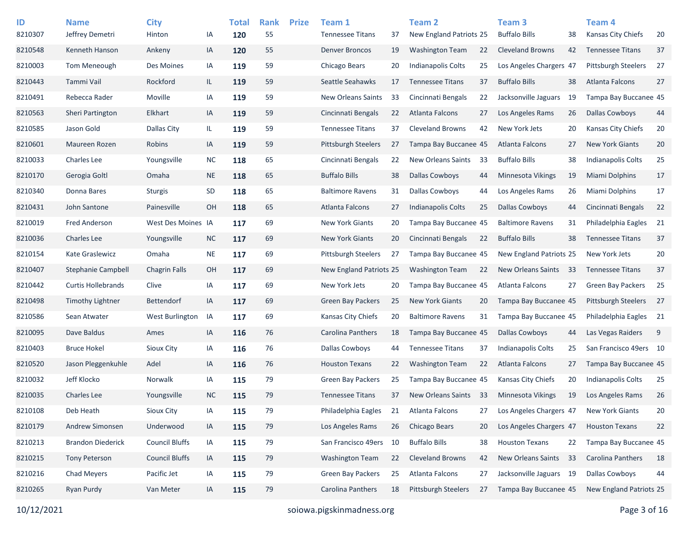| ID<br>8210307 | <b>Name</b><br>Jeffrey Demetri | <b>City</b><br>Hinton | ΙA        | <b>Total</b><br>120 | <b>Rank</b><br>55 | <b>Prize</b> | Team 1<br><b>Tennessee Titans</b> | 37 | <b>Team 2</b><br>New England Patriots 25 |     | Team 3<br><b>Buffalo Bills</b> | 38 | Team <sub>4</sub><br>Kansas City Chiefs | 20             |
|---------------|--------------------------------|-----------------------|-----------|---------------------|-------------------|--------------|-----------------------------------|----|------------------------------------------|-----|--------------------------------|----|-----------------------------------------|----------------|
| 8210548       | Kenneth Hanson                 | Ankeny                | IA        | 120                 | 55                |              | <b>Denver Broncos</b>             | 19 | <b>Washington Team</b>                   | 22  | <b>Cleveland Browns</b>        | 42 | <b>Tennessee Titans</b>                 | 37             |
| 8210003       | Tom Meneough                   | Des Moines            | IA        | 119                 | 59                |              | Chicago Bears                     | 20 | <b>Indianapolis Colts</b>                | 25  | Los Angeles Chargers 47        |    | <b>Pittsburgh Steelers</b>              | 27             |
| 8210443       | Tammi Vail                     | Rockford              | IL.       | 119                 | 59                |              | Seattle Seahawks                  | 17 | <b>Tennessee Titans</b>                  | 37  | <b>Buffalo Bills</b>           | 38 | Atlanta Falcons                         | 27             |
| 8210491       | Rebecca Rader                  | Moville               | IA        | 119                 | 59                |              | New Orleans Saints                | 33 | Cincinnati Bengals                       | 22  | Jacksonville Jaguars           | 19 | Tampa Bay Buccanee 45                   |                |
| 8210563       | Sheri Partington               | Elkhart               | IA        | 119                 | 59                |              | Cincinnati Bengals                | 22 | Atlanta Falcons                          | 27  | Los Angeles Rams               | 26 | <b>Dallas Cowboys</b>                   | 44             |
| 8210585       | Jason Gold                     | Dallas City           | IL.       | 119                 | 59                |              | <b>Tennessee Titans</b>           | 37 | <b>Cleveland Browns</b>                  | 42  | New York Jets                  | 20 | Kansas City Chiefs                      | 20             |
| 8210601       | Maureen Rozen                  | Robins                | IA        | 119                 | 59                |              | Pittsburgh Steelers               | 27 | Tampa Bay Buccanee 45                    |     | Atlanta Falcons                | 27 | <b>New York Giants</b>                  | 20             |
| 8210033       | Charles Lee                    | Youngsville           | <b>NC</b> | 118                 | 65                |              | Cincinnati Bengals                | 22 | New Orleans Saints                       | 33  | <b>Buffalo Bills</b>           | 38 | <b>Indianapolis Colts</b>               | 25             |
| 8210170       | Gerogia Goltl                  | Omaha                 | <b>NE</b> | 118                 | 65                |              | <b>Buffalo Bills</b>              | 38 | <b>Dallas Cowboys</b>                    | 44  | Minnesota Vikings              | 19 | Miami Dolphins                          | 17             |
| 8210340       | Donna Bares                    | <b>Sturgis</b>        | SD        | 118                 | 65                |              | <b>Baltimore Ravens</b>           | 31 | <b>Dallas Cowboys</b>                    | 44  | Los Angeles Rams               | 26 | Miami Dolphins                          | 17             |
| 8210431       | John Santone                   | Painesville           | OH        | 118                 | 65                |              | Atlanta Falcons                   | 27 | Indianapolis Colts                       | 25  | <b>Dallas Cowboys</b>          | 44 | Cincinnati Bengals                      | 22             |
| 8210019       | <b>Fred Anderson</b>           | West Des Moines IA    |           | 117                 | 69                |              | <b>New York Giants</b>            | 20 | Tampa Bay Buccanee 45                    |     | <b>Baltimore Ravens</b>        | 31 | Philadelphia Eagles                     | 21             |
| 8210036       | <b>Charles Lee</b>             | Youngsville           | $NC$      | 117                 | 69                |              | New York Giants                   | 20 | Cincinnati Bengals                       | 22  | <b>Buffalo Bills</b>           | 38 | <b>Tennessee Titans</b>                 | 37             |
| 8210154       | Kate Graslewicz                | Omaha                 | <b>NE</b> | 117                 | 69                |              | Pittsburgh Steelers               | 27 | Tampa Bay Buccanee 45                    |     | New England Patriots 25        |    | New York Jets                           | $20\,$         |
| 8210407       | Stephanie Campbell             | <b>Chagrin Falls</b>  | OH        | 117                 | 69                |              | New England Patriots 25           |    | <b>Washington Team</b>                   | 22  | <b>New Orleans Saints</b>      | 33 | <b>Tennessee Titans</b>                 | 37             |
| 8210442       | <b>Curtis Hollebrands</b>      | Clive                 | IA        | 117                 | 69                |              | New York Jets                     | 20 | Tampa Bay Buccanee 45                    |     | Atlanta Falcons                | 27 | <b>Green Bay Packers</b>                | 25             |
| 8210498       | Timothy Lightner               | <b>Bettendorf</b>     | IA        | 117                 | 69                |              | Green Bay Packers                 | 25 | <b>New York Giants</b>                   | 20  | Tampa Bay Buccanee 45          |    | <b>Pittsburgh Steelers</b>              | 27             |
| 8210586       | Sean Atwater                   | West Burlington       | IA        | 117                 | 69                |              | Kansas City Chiefs                | 20 | <b>Baltimore Ravens</b>                  | 31  | Tampa Bay Buccanee 45          |    | Philadelphia Eagles                     | 21             |
| 8210095       | Dave Baldus                    | Ames                  | IA        | 116                 | 76                |              | Carolina Panthers                 | 18 | Tampa Bay Buccanee 45                    |     | <b>Dallas Cowboys</b>          | 44 | Las Vegas Raiders                       | $\overline{9}$ |
| 8210403       | <b>Bruce Hokel</b>             | <b>Sioux City</b>     | IA        | 116                 | 76                |              | Dallas Cowboys                    | 44 | <b>Tennessee Titans</b>                  | 37  | <b>Indianapolis Colts</b>      | 25 | San Francisco 49ers 10                  |                |
| 8210520       | Jason Pleggenkuhle             | Adel                  | IA        | 116                 | 76                |              | <b>Houston Texans</b>             | 22 | <b>Washington Team</b>                   | 22  | Atlanta Falcons                | 27 | Tampa Bay Buccanee 45                   |                |
| 8210032       | Jeff Klocko                    | Norwalk               | IA        | 115                 | 79                |              | <b>Green Bay Packers</b>          | 25 | Tampa Bay Buccanee 45                    |     | Kansas City Chiefs             | 20 | <b>Indianapolis Colts</b>               | 25             |
| 8210035       | <b>Charles Lee</b>             | Youngsville           | <b>NC</b> | 115                 | 79                |              | <b>Tennessee Titans</b>           | 37 | New Orleans Saints                       | -33 | <b>Minnesota Vikings</b>       | 19 | Los Angeles Rams                        | 26             |
| 8210108       | Deb Heath                      | Sioux City            | IA        | 115                 | 79                |              | Philadelphia Eagles               | 21 | Atlanta Falcons                          | 27  | Los Angeles Chargers 47        |    | <b>New York Giants</b>                  | 20             |
| 8210179       | Andrew Simonsen                | Underwood             | IA        | 115                 | 79                |              | Los Angeles Rams                  | 26 | Chicago Bears                            | 20  | Los Angeles Chargers 47        |    | <b>Houston Texans</b>                   | 22             |
| 8210213       | <b>Brandon Diederick</b>       | <b>Council Bluffs</b> | IA        | 115                 | 79                |              | San Francisco 49ers               | 10 | <b>Buffalo Bills</b>                     | 38  | <b>Houston Texans</b>          | 22 | Tampa Bay Buccanee 45                   |                |
| 8210215       | <b>Tony Peterson</b>           | <b>Council Bluffs</b> | $\sf IA$  | 115                 | 79                |              | <b>Washington Team</b>            | 22 | <b>Cleveland Browns</b>                  | 42  | New Orleans Saints             | 33 | Carolina Panthers                       | 18             |
| 8210216       | Chad Meyers                    | Pacific Jet           | IA        | 115                 | 79                |              | Green Bay Packers                 | 25 | Atlanta Falcons                          | 27  | Jacksonville Jaguars 19        |    | Dallas Cowboys                          | 44             |
| 8210265       | Ryan Purdy                     | Van Meter             | IA        | 115                 | 79                |              | Carolina Panthers                 | 18 | Pittsburgh Steelers                      | 27  | Tampa Bay Buccanee 45          |    | New England Patriots 25                 |                |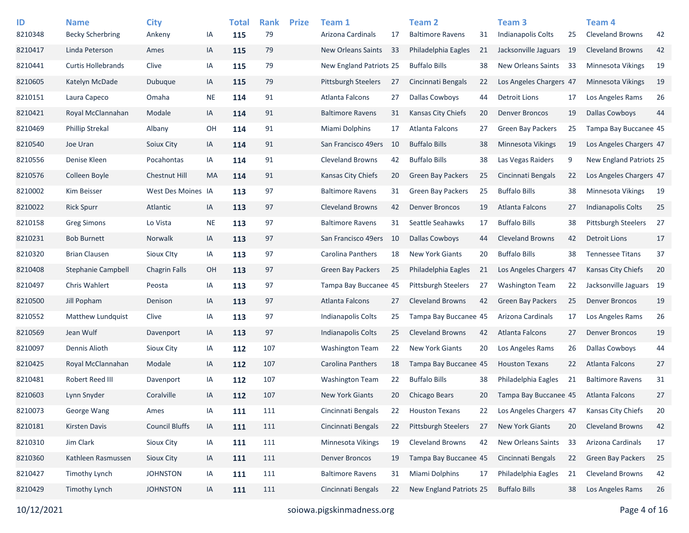| ID<br>8210348 | <b>Name</b><br><b>Becky Scherbring</b> | <b>City</b><br>Ankeny | IA        | <b>Total</b><br>115 | <b>Rank</b><br>79 | <b>Prize</b> | Team 1<br>Arizona Cardinals | 17 | <b>Team 2</b><br><b>Baltimore Ravens</b> | 31 | Team <sub>3</sub><br><b>Indianapolis Colts</b> | 25 | Team <sub>4</sub><br><b>Cleveland Browns</b> | 42 |
|---------------|----------------------------------------|-----------------------|-----------|---------------------|-------------------|--------------|-----------------------------|----|------------------------------------------|----|------------------------------------------------|----|----------------------------------------------|----|
| 8210417       | Linda Peterson                         | Ames                  | IA        | 115                 | 79                |              | <b>New Orleans Saints</b>   | 33 | Philadelphia Eagles                      | 21 | Jacksonville Jaguars 19                        |    | <b>Cleveland Browns</b>                      | 42 |
| 8210441       | <b>Curtis Hollebrands</b>              | Clive                 | IA        | 115                 | 79                |              | New England Patriots 25     |    | <b>Buffalo Bills</b>                     | 38 | <b>New Orleans Saints</b>                      | 33 | <b>Minnesota Vikings</b>                     | 19 |
| 8210605       | Katelyn McDade                         | Dubuque               | IA        | 115                 | 79                |              | <b>Pittsburgh Steelers</b>  | 27 | Cincinnati Bengals                       | 22 | Los Angeles Chargers 47                        |    | <b>Minnesota Vikings</b>                     | 19 |
| 8210151       | Laura Capeco                           | Omaha                 | <b>NE</b> | 114                 | 91                |              | Atlanta Falcons             | 27 | <b>Dallas Cowboys</b>                    | 44 | Detroit Lions                                  | 17 | Los Angeles Rams                             | 26 |
| 8210421       | Royal McClannahan                      | Modale                | IA        | 114                 | 91                |              | <b>Baltimore Ravens</b>     | 31 | <b>Kansas City Chiefs</b>                | 20 | <b>Denver Broncos</b>                          | 19 | <b>Dallas Cowboys</b>                        | 44 |
| 8210469       | <b>Phillip Strekal</b>                 | Albany                | OH        | 114                 | 91                |              | Miami Dolphins              | 17 | Atlanta Falcons                          | 27 | <b>Green Bay Packers</b>                       | 25 | Tampa Bay Buccanee 45                        |    |
| 8210540       | Joe Uran                               | Soiux City            | IA        | 114                 | 91                |              | San Francisco 49ers         | 10 | <b>Buffalo Bills</b>                     | 38 | Minnesota Vikings                              | 19 | Los Angeles Chargers 47                      |    |
| 8210556       | Denise Kleen                           | Pocahontas            | IA        | 114                 | 91                |              | <b>Cleveland Browns</b>     | 42 | <b>Buffalo Bills</b>                     | 38 | Las Vegas Raiders                              | 9  | New England Patriots 25                      |    |
| 8210576       | Colleen Boyle                          | Chestnut Hill         | <b>MA</b> | 114                 | 91                |              | Kansas City Chiefs          | 20 | Green Bay Packers                        | 25 | Cincinnati Bengals                             | 22 | Los Angeles Chargers 47                      |    |
| 8210002       | Kim Beisser                            | West Des Moines IA    |           | 113                 | 97                |              | <b>Baltimore Ravens</b>     | 31 | <b>Green Bay Packers</b>                 | 25 | <b>Buffalo Bills</b>                           | 38 | <b>Minnesota Vikings</b>                     | 19 |
| 8210022       | <b>Rick Spurr</b>                      | Atlantic              | IA        | 113                 | 97                |              | <b>Cleveland Browns</b>     | 42 | <b>Denver Broncos</b>                    | 19 | Atlanta Falcons                                | 27 | <b>Indianapolis Colts</b>                    | 25 |
| 8210158       | <b>Greg Simons</b>                     | Lo Vista              | <b>NE</b> | 113                 | 97                |              | <b>Baltimore Ravens</b>     | 31 | Seattle Seahawks                         | 17 | <b>Buffalo Bills</b>                           | 38 | Pittsburgh Steelers                          | 27 |
| 8210231       | <b>Bob Burnett</b>                     | Norwalk               | IA        | 113                 | 97                |              | San Francisco 49ers         | 10 | <b>Dallas Cowboys</b>                    | 44 | <b>Cleveland Browns</b>                        | 42 | <b>Detroit Lions</b>                         | 17 |
| 8210320       | <b>Brian Clausen</b>                   | <b>Sioux Clty</b>     | IA        | 113                 | 97                |              | <b>Carolina Panthers</b>    | 18 | <b>New York Giants</b>                   | 20 | <b>Buffalo Bills</b>                           | 38 | <b>Tennessee Titans</b>                      | 37 |
| 8210408       | Stephanie Campbell                     | <b>Chagrin Falls</b>  | OH        | 113                 | 97                |              | Green Bay Packers           | 25 | Philadelphia Eagles                      | 21 | Los Angeles Chargers 47                        |    | <b>Kansas City Chiefs</b>                    | 20 |
| 8210497       | Chris Wahlert                          | Peosta                | IA        | 113                 | 97                |              | Tampa Bay Buccanee 45       |    | <b>Pittsburgh Steelers</b>               | 27 | <b>Washington Team</b>                         | 22 | Jacksonville Jaguars 19                      |    |
| 8210500       | Jill Popham                            | Denison               | IA        | 113                 | 97                |              | <b>Atlanta Falcons</b>      | 27 | <b>Cleveland Browns</b>                  | 42 | <b>Green Bay Packers</b>                       | 25 | <b>Denver Broncos</b>                        | 19 |
| 8210552       | Matthew Lundquist                      | Clive                 | IA        | 113                 | 97                |              | <b>Indianapolis Colts</b>   | 25 | Tampa Bay Buccanee 45                    |    | Arizona Cardinals                              | 17 | Los Angeles Rams                             | 26 |
| 8210569       | Jean Wulf                              | Davenport             | IA        | 113                 | 97                |              | <b>Indianapolis Colts</b>   | 25 | <b>Cleveland Browns</b>                  | 42 | Atlanta Falcons                                | 27 | <b>Denver Broncos</b>                        | 19 |
| 8210097       | Dennis Alioth                          | <b>Sioux City</b>     | IA        | 112                 | 107               |              | <b>Washington Team</b>      | 22 | <b>New York Giants</b>                   | 20 | Los Angeles Rams                               | 26 | <b>Dallas Cowboys</b>                        | 44 |
| 8210425       | Royal McClannahan                      | Modale                | IA        | 112                 | 107               |              | Carolina Panthers           | 18 | Tampa Bay Buccanee 45                    |    | <b>Houston Texans</b>                          | 22 | Atlanta Falcons                              | 27 |
| 8210481       | Robert Reed III                        | Davenport             | IA        | 112                 | 107               |              | <b>Washington Team</b>      | 22 | <b>Buffalo Bills</b>                     | 38 | Philadelphia Eagles                            | 21 | <b>Baltimore Ravens</b>                      | 31 |
| 8210603       | Lynn Snyder                            | Coralville            | IA        | 112                 | 107               |              | <b>New York Giants</b>      | 20 | Chicago Bears                            | 20 | Tampa Bay Buccanee 45                          |    | <b>Atlanta Falcons</b>                       | 27 |
| 8210073       | George Wang                            | Ames                  | IA        | 111                 | 111               |              | Cincinnati Bengals          | 22 | <b>Houston Texans</b>                    | 22 | Los Angeles Chargers 47                        |    | Kansas City Chiefs                           | 20 |
| 8210181       | Kirsten Davis                          | <b>Council Bluffs</b> | IA        | 111                 | 111               |              | Cincinnati Bengals          | 22 | <b>Pittsburgh Steelers</b>               | 27 | New York Giants                                | 20 | <b>Cleveland Browns</b>                      | 42 |
| 8210310       | Jim Clark                              | Sioux City            | IA        | 111                 | 111               |              | Minnesota Vikings           | 19 | Cleveland Browns                         | 42 | New Orleans Saints                             | 33 | Arizona Cardinals                            | 17 |
| 8210360       | Kathleen Rasmussen                     | Sioux City            | IA        | 111                 | 111               |              | <b>Denver Broncos</b>       | 19 | Tampa Bay Buccanee 45                    |    | Cincinnati Bengals                             | 22 | <b>Green Bay Packers</b>                     | 25 |
| 8210427       | Timothy Lynch                          | <b>JOHNSTON</b>       | IA        | 111                 | 111               |              | <b>Baltimore Ravens</b>     | 31 | Miami Dolphins                           | 17 | Philadelphia Eagles                            | 21 | <b>Cleveland Browns</b>                      | 42 |
| 8210429       | <b>Timothy Lynch</b>                   | <b>JOHNSTON</b>       | IA        | 111                 | 111               |              | Cincinnati Bengals          | 22 | New England Patriots 25                  |    | <b>Buffalo Bills</b>                           | 38 | Los Angeles Rams                             | 26 |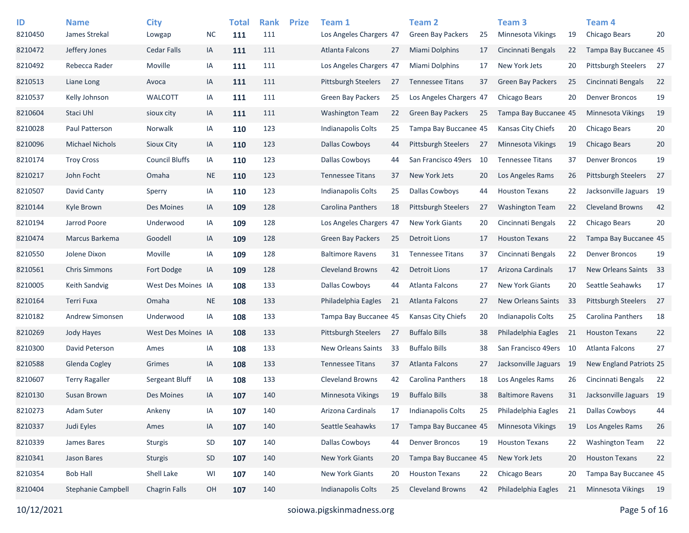| ID<br>8210450 | <b>Name</b><br>James Strekal | <b>City</b><br>Lowgap | <b>NC</b> | <b>Total</b><br>111 | <b>Rank</b><br>111 | <b>Prize</b> | Team 1<br>Los Angeles Chargers 47 |    | Team 2<br><b>Green Bay Packers</b> | 25 | Team <sub>3</sub><br>Minnesota Vikings | 19  | Team <sub>4</sub><br>Chicago Bears | 20 |
|---------------|------------------------------|-----------------------|-----------|---------------------|--------------------|--------------|-----------------------------------|----|------------------------------------|----|----------------------------------------|-----|------------------------------------|----|
| 8210472       | Jeffery Jones                | Cedar Falls           | IA        | 111                 | 111                |              | <b>Atlanta Falcons</b>            | 27 | <b>Miami Dolphins</b>              | 17 | Cincinnati Bengals                     | 22  | Tampa Bay Buccanee 45              |    |
| 8210492       | Rebecca Rader                | Moville               |           |                     | 111                |              |                                   |    | <b>Miami Dolphins</b>              |    | New York Jets                          |     | Pittsburgh Steelers                | 27 |
|               |                              |                       | IA        | 111                 |                    |              | Los Angeles Chargers 47           |    |                                    | 17 |                                        | 20  |                                    |    |
| 8210513       | Liane Long                   | Avoca                 | IA        | 111                 | 111                |              | <b>Pittsburgh Steelers</b>        | 27 | <b>Tennessee Titans</b>            | 37 | <b>Green Bay Packers</b>               | 25  | Cincinnati Bengals                 | 22 |
| 8210537       | Kelly Johnson                | WALCOTT               | IA        | 111                 | 111                |              | <b>Green Bay Packers</b>          | 25 | Los Angeles Chargers 47            |    | Chicago Bears                          | 20  | <b>Denver Broncos</b>              | 19 |
| 8210604       | Staci Uhl                    | sioux city            | IA        | 111                 | 111                |              | <b>Washington Team</b>            | 22 | <b>Green Bay Packers</b>           | 25 | Tampa Bay Buccanee 45                  |     | <b>Minnesota Vikings</b>           | 19 |
| 8210028       | Paul Patterson               | Norwalk               | IA        | 110                 | 123                |              | Indianapolis Colts                | 25 | Tampa Bay Buccanee 45              |    | Kansas City Chiefs                     | 20  | Chicago Bears                      | 20 |
| 8210096       | <b>Michael Nichols</b>       | <b>Sioux City</b>     | IA        | 110                 | 123                |              | <b>Dallas Cowboys</b>             | 44 | <b>Pittsburgh Steelers</b>         | 27 | <b>Minnesota Vikings</b>               | 19  | Chicago Bears                      | 20 |
| 8210174       | <b>Troy Cross</b>            | <b>Council Bluffs</b> | IA        | 110                 | 123                |              | <b>Dallas Cowboys</b>             | 44 | San Francisco 49ers                | 10 | <b>Tennessee Titans</b>                | 37  | <b>Denver Broncos</b>              | 19 |
| 8210217       | John Focht                   | Omaha                 | <b>NE</b> | 110                 | 123                |              | <b>Tennessee Titans</b>           | 37 | New York Jets                      | 20 | Los Angeles Rams                       | 26  | <b>Pittsburgh Steelers</b>         | 27 |
| 8210507       | David Canty                  | Sperry                | IA        | 110                 | 123                |              | Indianapolis Colts                | 25 | <b>Dallas Cowboys</b>              | 44 | <b>Houston Texans</b>                  | 22  | Jacksonville Jaguars 19            |    |
| 8210144       | Kyle Brown                   | Des Moines            | IA        | 109                 | 128                |              | Carolina Panthers                 | 18 | <b>Pittsburgh Steelers</b>         | 27 | <b>Washington Team</b>                 | 22  | <b>Cleveland Browns</b>            | 42 |
| 8210194       | Jarrod Poore                 | Underwood             | IA        | 109                 | 128                |              | Los Angeles Chargers 47           |    | <b>New York Giants</b>             | 20 | Cincinnati Bengals                     | 22  | Chicago Bears                      | 20 |
| 8210474       | Marcus Barkema               | Goodell               | IA        | 109                 | 128                |              | <b>Green Bay Packers</b>          | 25 | Detroit Lions                      | 17 | <b>Houston Texans</b>                  | 22  | Tampa Bay Buccanee 45              |    |
| 8210550       | Jolene Dixon                 | Moville               | IA        | 109                 | 128                |              | <b>Baltimore Ravens</b>           | 31 | <b>Tennessee Titans</b>            | 37 | Cincinnati Bengals                     | 22  | <b>Denver Broncos</b>              | 19 |
| 8210561       | <b>Chris Simmons</b>         | Fort Dodge            | IA        | 109                 | 128                |              | <b>Cleveland Browns</b>           | 42 | Detroit Lions                      | 17 | Arizona Cardinals                      | 17  | New Orleans Saints                 | 33 |
| 8210005       | <b>Keith Sandvig</b>         | West Des Moines IA    |           | 108                 | 133                |              | Dallas Cowboys                    | 44 | Atlanta Falcons                    | 27 | <b>New York Giants</b>                 | 20  | Seattle Seahawks                   | 17 |
| 8210164       | Terri Fuxa                   | Omaha                 | <b>NE</b> | 108                 | 133                |              | Philadelphia Eagles               | 21 | Atlanta Falcons                    | 27 | New Orleans Saints                     | -33 | Pittsburgh Steelers                | 27 |
| 8210182       | Andrew Simonsen              | Underwood             | IA        | 108                 | 133                |              | Tampa Bay Buccanee 45             |    | Kansas City Chiefs                 | 20 | Indianapolis Colts                     | 25  | Carolina Panthers                  | 18 |
| 8210269       | Jody Hayes                   | West Des Moines IA    |           | 108                 | 133                |              | <b>Pittsburgh Steelers</b>        | 27 | <b>Buffalo Bills</b>               | 38 | Philadelphia Eagles                    | 21  | <b>Houston Texans</b>              | 22 |
| 8210300       | David Peterson               | Ames                  | IA        | 108                 | 133                |              | New Orleans Saints                | 33 | <b>Buffalo Bills</b>               | 38 | San Francisco 49ers                    | -10 | Atlanta Falcons                    | 27 |
| 8210588       | <b>Glenda Cogley</b>         | Grimes                | IA        | 108                 | 133                |              | <b>Tennessee Titans</b>           | 37 | Atlanta Falcons                    | 27 | Jacksonville Jaguars                   | -19 | New England Patriots 25            |    |
| 8210607       | <b>Terry Ragaller</b>        | Sergeant Bluff        | IA        | 108                 | 133                |              | <b>Cleveland Browns</b>           | 42 | Carolina Panthers                  | 18 | Los Angeles Rams                       | 26  | Cincinnati Bengals                 | 22 |
| 8210130       | Susan Brown                  | Des Moines            | IA        | 107                 | 140                |              | <b>Minnesota Vikings</b>          | 19 | <b>Buffalo Bills</b>               | 38 | <b>Baltimore Ravens</b>                | 31  | Jacksonville Jaguars 19            |    |
| 8210273       | Adam Suter                   | Ankeny                | IA        | 107                 | 140                |              | Arizona Cardinals                 | 17 | <b>Indianapolis Colts</b>          | 25 | Philadelphia Eagles                    | 21  | <b>Dallas Cowboys</b>              | 44 |
| 8210337       | Judi Eyles                   | Ames                  | IA        | 107                 | 140                |              | Seattle Seahawks                  | 17 | Tampa Bay Buccanee 45              |    | Minnesota Vikings                      | 19  | Los Angeles Rams                   | 26 |
| 8210339       | James Bares                  | <b>Sturgis</b>        | SD        | 107                 | 140                |              | <b>Dallas Cowboys</b>             | 44 | <b>Denver Broncos</b>              | 19 | <b>Houston Texans</b>                  | 22  | <b>Washington Team</b>             | 22 |
| 8210341       | <b>Jason Bares</b>           | <b>Sturgis</b>        | SD        | 107                 | 140                |              | New York Giants                   | 20 | Tampa Bay Buccanee 45              |    | New York Jets                          | 20  | <b>Houston Texans</b>              | 22 |
| 8210354       | <b>Bob Hall</b>              | Shell Lake            | WI        | 107                 | 140                |              | New York Giants                   | 20 | <b>Houston Texans</b>              | 22 | Chicago Bears                          | 20  | Tampa Bay Buccanee 45              |    |
| 8210404       | Stephanie Campbell           | <b>Chagrin Falls</b>  | OH        | 107                 | 140                |              | <b>Indianapolis Colts</b>         | 25 | <b>Cleveland Browns</b>            | 42 | Philadelphia Eagles                    | 21  | Minnesota Vikings                  | 19 |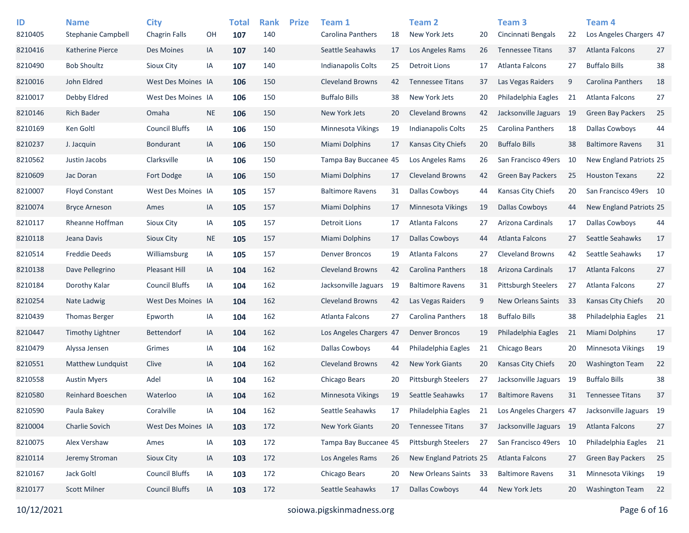| ID      | <b>Name</b>               | <b>City</b>           |           | <b>Total</b> | <b>Rank</b> | <b>Prize</b> | Team 1                    |     | Team 2                     |    | Team <sub>3</sub>          |      | Team 4                    |    |
|---------|---------------------------|-----------------------|-----------|--------------|-------------|--------------|---------------------------|-----|----------------------------|----|----------------------------|------|---------------------------|----|
| 8210405 | <b>Stephanie Campbell</b> | <b>Chagrin Falls</b>  | OН        | 107          | 140         |              | Carolina Panthers         | 18  | New York Jets              | 20 | Cincinnati Bengals         | 22   | Los Angeles Chargers 47   |    |
| 8210416 | Katherine Pierce          | Des Moines            | IA        | 107          | 140         |              | Seattle Seahawks          | 17  | Los Angeles Rams           | 26 | <b>Tennessee Titans</b>    | 37   | Atlanta Falcons           | 27 |
| 8210490 | <b>Bob Shoultz</b>        | Sioux City            | IA        | 107          | 140         |              | <b>Indianapolis Colts</b> | 25  | Detroit Lions              | 17 | <b>Atlanta Falcons</b>     | 27   | <b>Buffalo Bills</b>      | 38 |
| 8210016 | John Eldred               | West Des Moines IA    |           | 106          | 150         |              | <b>Cleveland Browns</b>   | 42  | <b>Tennessee Titans</b>    | 37 | Las Vegas Raiders          | 9    | Carolina Panthers         | 18 |
| 8210017 | Debby Eldred              | West Des Moines IA    |           | 106          | 150         |              | <b>Buffalo Bills</b>      | 38  | New York Jets              | 20 | Philadelphia Eagles        | 21   | Atlanta Falcons           | 27 |
| 8210146 | <b>Rich Bader</b>         | Omaha                 | <b>NE</b> | 106          | 150         |              | New York Jets             | 20  | <b>Cleveland Browns</b>    | 42 | Jacksonville Jaguars       | - 19 | <b>Green Bay Packers</b>  | 25 |
| 8210169 | Ken Goltl                 | <b>Council Bluffs</b> | IA        | 106          | 150         |              | <b>Minnesota Vikings</b>  | 19  | Indianapolis Colts         | 25 | Carolina Panthers          | 18   | <b>Dallas Cowboys</b>     | 44 |
| 8210237 | J. Jacquin                | <b>Bondurant</b>      | IA        | 106          | 150         |              | <b>Miami Dolphins</b>     | 17  | Kansas City Chiefs         | 20 | <b>Buffalo Bills</b>       | 38   | <b>Baltimore Ravens</b>   | 31 |
| 8210562 | Justin Jacobs             | Clarksville           | IA        | 106          | 150         |              | Tampa Bay Buccanee 45     |     | Los Angeles Rams           | 26 | San Francisco 49ers        | 10   | New England Patriots 25   |    |
| 8210609 | Jac Doran                 | Fort Dodge            | IA        | 106          | 150         |              | Miami Dolphins            | 17  | <b>Cleveland Browns</b>    | 42 | Green Bay Packers          | 25   | <b>Houston Texans</b>     | 22 |
| 8210007 | <b>Floyd Constant</b>     | West Des Moines IA    |           | 105          | 157         |              | <b>Baltimore Ravens</b>   | 31  | <b>Dallas Cowboys</b>      | 44 | Kansas City Chiefs         | 20   | San Francisco 49ers 10    |    |
| 8210074 | <b>Bryce Arneson</b>      | Ames                  | IA        | 105          | 157         |              | Miami Dolphins            | 17  | Minnesota Vikings          | 19 | <b>Dallas Cowboys</b>      | 44   | New England Patriots 25   |    |
| 8210117 | Rheanne Hoffman           | Sioux City            | IA        | 105          | 157         |              | Detroit Lions             | 17  | Atlanta Falcons            | 27 | Arizona Cardinals          | 17   | <b>Dallas Cowboys</b>     | 44 |
| 8210118 | Jeana Davis               | Sioux City            | <b>NE</b> | 105          | 157         |              | Miami Dolphins            | 17  | Dallas Cowboys             | 44 | Atlanta Falcons            | 27   | Seattle Seahawks          | 17 |
| 8210514 | <b>Freddie Deeds</b>      | Williamsburg          | IA        | 105          | 157         |              | <b>Denver Broncos</b>     | 19  | Atlanta Falcons            | 27 | <b>Cleveland Browns</b>    | 42   | Seattle Seahawks          | 17 |
| 8210138 | Dave Pellegrino           | <b>Pleasant Hill</b>  | IA        | 104          | 162         |              | <b>Cleveland Browns</b>   | 42  | Carolina Panthers          | 18 | Arizona Cardinals          | 17   | Atlanta Falcons           | 27 |
| 8210184 | Dorothy Kalar             | <b>Council Bluffs</b> | IA        | 104          | 162         |              | Jacksonville Jaguars      | 19  | <b>Baltimore Ravens</b>    | 31 | <b>Pittsburgh Steelers</b> | 27   | Atlanta Falcons           | 27 |
| 8210254 | Nate Ladwig               | West Des Moines IA    |           | 104          | 162         |              | <b>Cleveland Browns</b>   | 42  | Las Vegas Raiders          | 9  | <b>New Orleans Saints</b>  | 33   | <b>Kansas City Chiefs</b> | 20 |
| 8210439 | <b>Thomas Berger</b>      | Epworth               | IA        | 104          | 162         |              | Atlanta Falcons           | 27  | Carolina Panthers          | 18 | <b>Buffalo Bills</b>       | 38   | Philadelphia Eagles       | 21 |
| 8210447 | Timothy Lightner          | <b>Bettendorf</b>     | IA        | 104          | 162         |              | Los Angeles Chargers 47   |     | <b>Denver Broncos</b>      | 19 | Philadelphia Eagles        | 21   | Miami Dolphins            | 17 |
| 8210479 | Alyssa Jensen             | Grimes                | IA        | 104          | 162         |              | <b>Dallas Cowboys</b>     | 44  | Philadelphia Eagles        | 21 | Chicago Bears              | 20   | <b>Minnesota Vikings</b>  | 19 |
| 8210551 | <b>Matthew Lundquist</b>  | Clive                 | IA        | 104          | 162         |              | <b>Cleveland Browns</b>   | 42  | <b>New York Giants</b>     | 20 | Kansas City Chiefs         | 20   | <b>Washington Team</b>    | 22 |
| 8210558 | <b>Austin Myers</b>       | Adel                  | IA        | 104          | 162         |              | Chicago Bears             | 20  | <b>Pittsburgh Steelers</b> | 27 | Jacksonville Jaguars       | 19   | <b>Buffalo Bills</b>      | 38 |
| 8210580 | <b>Reinhard Boeschen</b>  | Waterloo              | IA        | 104          | 162         |              | <b>Minnesota Vikings</b>  | -19 | Seattle Seahawks           | 17 | <b>Baltimore Ravens</b>    | 31   | <b>Tennessee Titans</b>   | 37 |
| 8210590 | Paula Bakey               | Coralville            | IA        | 104          | 162         |              | Seattle Seahawks          | 17  | Philadelphia Eagles        | 21 | Los Angeles Chargers 47    |      | Jacksonville Jaguars 19   |    |
| 8210004 | Charlie Sovich            | West Des Moines IA    |           | 103          | 172         |              | New York Giants           | 20  | <b>Tennessee Titans</b>    | 37 | Jacksonville Jaguars 19    |      | Atlanta Falcons           | 27 |
| 8210075 | Alex Vershaw              | Ames                  | IA        | 103          | 172         |              | Tampa Bay Buccanee 45     |     | Pittsburgh Steelers        | 27 | San Francisco 49ers 10     |      | Philadelphia Eagles       | 21 |
| 8210114 | Jeremy Stroman            | Sioux City            | IA        | 103          | 172         |              | Los Angeles Rams          | 26  | New England Patriots 25    |    | Atlanta Falcons            | 27   | Green Bay Packers         | 25 |
| 8210167 | Jack Goltl                | <b>Council Bluffs</b> | IA        | 103          | 172         |              | Chicago Bears             | 20  | New Orleans Saints         | 33 | <b>Baltimore Ravens</b>    | 31   | Minnesota Vikings         | 19 |
| 8210177 | <b>Scott Milner</b>       | <b>Council Bluffs</b> | IA        | 103          | 172         |              | Seattle Seahawks          | 17  | <b>Dallas Cowboys</b>      | 44 | New York Jets              | 20   | <b>Washington Team</b>    | 22 |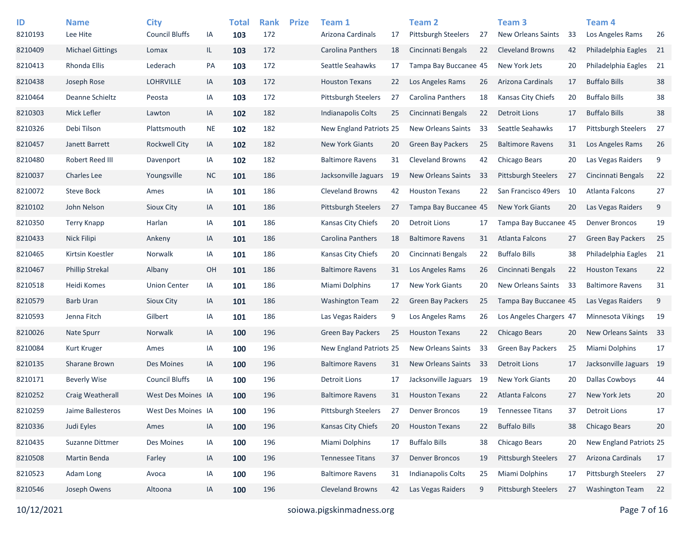| ID      | <b>Name</b>             | <b>City</b>           |           | <b>Total</b> | <b>Rank</b> | <b>Prize</b> | Team 1                     |     | <b>Team 2</b>             |    | Team <sub>3</sub>          |    | Team 4                     |     |
|---------|-------------------------|-----------------------|-----------|--------------|-------------|--------------|----------------------------|-----|---------------------------|----|----------------------------|----|----------------------------|-----|
| 8210193 | Lee Hite                | <b>Council Bluffs</b> | IA        | 103          | 172         |              | Arizona Cardinals          | 17  | Pittsburgh Steelers       | 27 | <b>New Orleans Saints</b>  | 33 | Los Angeles Rams           | 26  |
| 8210409 | <b>Michael Gittings</b> | Lomax                 | IL.       | 103          | 172         |              | Carolina Panthers          | 18  | Cincinnati Bengals        | 22 | <b>Cleveland Browns</b>    | 42 | Philadelphia Eagles        | -21 |
| 8210413 | Rhonda Ellis            | Lederach              | PA        | 103          | 172         |              | Seattle Seahawks           | 17  | Tampa Bay Buccanee 45     |    | New York Jets              | 20 | Philadelphia Eagles        | 21  |
| 8210438 | Joseph Rose             | <b>LOHRVILLE</b>      | IA        | 103          | 172         |              | <b>Houston Texans</b>      | 22  | Los Angeles Rams          | 26 | Arizona Cardinals          | 17 | <b>Buffalo Bills</b>       | 38  |
| 8210464 | Deanne Schieltz         | Peosta                | IA        | 103          | 172         |              | Pittsburgh Steelers        | 27  | Carolina Panthers         | 18 | Kansas City Chiefs         | 20 | <b>Buffalo Bills</b>       | 38  |
| 8210303 | Mick Lefler             | Lawton                | IA        | 102          | 182         |              | Indianapolis Colts         | 25  | Cincinnati Bengals        | 22 | <b>Detroit Lions</b>       | 17 | <b>Buffalo Bills</b>       | 38  |
| 8210326 | Debi Tilson             | Plattsmouth           | <b>NE</b> | 102          | 182         |              | New England Patriots 25    |     | <b>New Orleans Saints</b> | 33 | Seattle Seahawks           | 17 | <b>Pittsburgh Steelers</b> | 27  |
| 8210457 | Janett Barrett          | Rockwell City         | IA        | 102          | 182         |              | <b>New York Giants</b>     | 20  | <b>Green Bay Packers</b>  | 25 | <b>Baltimore Ravens</b>    | 31 | Los Angeles Rams           | 26  |
| 8210480 | Robert Reed III         | Davenport             | IA        | 102          | 182         |              | <b>Baltimore Ravens</b>    | 31  | <b>Cleveland Browns</b>   | 42 | Chicago Bears              | 20 | Las Vegas Raiders          | 9   |
| 8210037 | <b>Charles Lee</b>      | Youngsville           | <b>NC</b> | 101          | 186         |              | Jacksonville Jaguars       | -19 | <b>New Orleans Saints</b> | 33 | Pittsburgh Steelers        | 27 | Cincinnati Bengals         | 22  |
| 8210072 | <b>Steve Bock</b>       | Ames                  | IA        | 101          | 186         |              | <b>Cleveland Browns</b>    | 42  | <b>Houston Texans</b>     | 22 | San Francisco 49ers        | 10 | Atlanta Falcons            | 27  |
| 8210102 | John Nelson             | Sioux City            | IA        | 101          | 186         |              | <b>Pittsburgh Steelers</b> | 27  | Tampa Bay Buccanee 45     |    | <b>New York Giants</b>     | 20 | Las Vegas Raiders          | 9   |
| 8210350 | Terry Knapp             | Harlan                | IA        | 101          | 186         |              | Kansas City Chiefs         | 20  | <b>Detroit Lions</b>      | 17 | Tampa Bay Buccanee 45      |    | <b>Denver Broncos</b>      | 19  |
| 8210433 | Nick Filipi             | Ankeny                | IA        | 101          | 186         |              | Carolina Panthers          | 18  | <b>Baltimore Ravens</b>   | 31 | Atlanta Falcons            | 27 | <b>Green Bay Packers</b>   | 25  |
| 8210465 | Kirtsin Koestler        | Norwalk               | IA        | 101          | 186         |              | Kansas City Chiefs         | 20  | Cincinnati Bengals        | 22 | <b>Buffalo Bills</b>       | 38 | Philadelphia Eagles        | 21  |
| 8210467 | <b>Phillip Strekal</b>  | Albany                | OH        | 101          | 186         |              | <b>Baltimore Ravens</b>    | 31  | Los Angeles Rams          | 26 | Cincinnati Bengals         | 22 | <b>Houston Texans</b>      | 22  |
| 8210518 | Heidi Komes             | <b>Union Center</b>   | IA        | 101          | 186         |              | Miami Dolphins             | 17  | <b>New York Giants</b>    | 20 | New Orleans Saints         | 33 | <b>Baltimore Ravens</b>    | 31  |
| 8210579 | <b>Barb Uran</b>        | Sioux City            | IA        | 101          | 186         |              | <b>Washington Team</b>     | 22  | <b>Green Bay Packers</b>  | 25 | Tampa Bay Buccanee 45      |    | Las Vegas Raiders          | 9   |
| 8210593 | Jenna Fitch             | Gilbert               | IA        | 101          | 186         |              | Las Vegas Raiders          | 9   | Los Angeles Rams          | 26 | Los Angeles Chargers 47    |    | Minnesota Vikings          | 19  |
| 8210026 | Nate Spurr              | <b>Norwalk</b>        | IA        | 100          | 196         |              | <b>Green Bay Packers</b>   | 25  | <b>Houston Texans</b>     | 22 | Chicago Bears              | 20 | New Orleans Saints         | 33  |
| 8210084 | Kurt Kruger             | Ames                  | IA        | 100          | 196         |              | New England Patriots 25    |     | <b>New Orleans Saints</b> | 33 | <b>Green Bay Packers</b>   | 25 | Miami Dolphins             | 17  |
| 8210135 | Sharane Brown           | Des Moines            | IA        | 100          | 196         |              | <b>Baltimore Ravens</b>    | 31  | <b>New Orleans Saints</b> | 33 | <b>Detroit Lions</b>       | 17 | Jacksonville Jaguars 19    |     |
| 8210171 | <b>Beverly Wise</b>     | <b>Council Bluffs</b> | IA        | 100          | 196         |              | <b>Detroit Lions</b>       | 17  | Jacksonville Jaguars 19   |    | <b>New York Giants</b>     | 20 | <b>Dallas Cowboys</b>      | 44  |
| 8210252 | Craig Weatherall        | West Des Moines IA    |           | 100          | 196         |              | <b>Baltimore Ravens</b>    | 31  | <b>Houston Texans</b>     | 22 | <b>Atlanta Falcons</b>     | 27 | New York Jets              | 20  |
| 8210259 | Jaime Ballesteros       | West Des Moines IA    |           | 100          | 196         |              | Pittsburgh Steelers        | 27  | <b>Denver Broncos</b>     | 19 | <b>Tennessee Titans</b>    | 37 | <b>Detroit Lions</b>       | 17  |
| 8210336 | Judi Eyles              | Ames                  | IA        | 100          | 196         |              | Kansas City Chiefs         | 20  | <b>Houston Texans</b>     | 22 | <b>Buffalo Bills</b>       | 38 | Chicago Bears              | 20  |
| 8210435 | Suzanne Dittmer         | Des Moines            | IA        | 100          | 196         |              | Miami Dolphins             | 17  | <b>Buffalo Bills</b>      | 38 | Chicago Bears              | 20 | New England Patriots 25    |     |
| 8210508 | Martin Benda            | Farley                | IA        | 100          | 196         |              | <b>Tennessee Titans</b>    | 37  | <b>Denver Broncos</b>     | 19 | <b>Pittsburgh Steelers</b> | 27 | Arizona Cardinals          | 17  |
| 8210523 | Adam Long               | Avoca                 | IA        | 100          | 196         |              | <b>Baltimore Ravens</b>    | 31  | Indianapolis Colts        | 25 | Miami Dolphins             | 17 | Pittsburgh Steelers        | 27  |
| 8210546 | Joseph Owens            | Altoona               | IA        | 100          | 196         |              | <b>Cleveland Browns</b>    | 42  | Las Vegas Raiders         | 9  | Pittsburgh Steelers        | 27 | <b>Washington Team</b>     | 22  |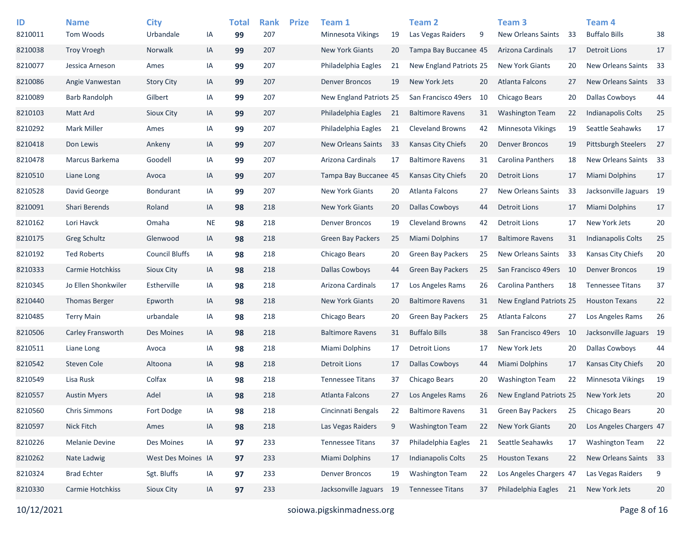| ID<br>8210011 | <b>Name</b><br>Tom Woods | <b>City</b><br>Urbandale | IA        | <b>Total</b><br>99 | <b>Rank</b><br>207 | <b>Prize</b> | Team 1<br><b>Minnesota Vikings</b> | 19  | <b>Team 2</b><br>Las Vegas Raiders | 9  | Team <sub>3</sub><br><b>New Orleans Saints</b> | 33   | Team <sub>4</sub><br><b>Buffalo Bills</b> | 38 |
|---------------|--------------------------|--------------------------|-----------|--------------------|--------------------|--------------|------------------------------------|-----|------------------------------------|----|------------------------------------------------|------|-------------------------------------------|----|
| 8210038       | <b>Troy Vroegh</b>       | Norwalk                  | IA        | 99                 | 207                |              | <b>New York Giants</b>             | 20  | Tampa Bay Buccanee 45              |    | Arizona Cardinals                              | 17   | <b>Detroit Lions</b>                      | 17 |
| 8210077       | Jessica Arneson          | Ames                     | IA        | 99                 | 207                |              | Philadelphia Eagles                | 21  | New England Patriots 25            |    | <b>New York Giants</b>                         | 20   | New Orleans Saints                        | 33 |
| 8210086       | Angie Vanwestan          | <b>Story City</b>        | IA        | 99                 | 207                |              | <b>Denver Broncos</b>              | 19  | New York Jets                      | 20 | Atlanta Falcons                                | 27   | <b>New Orleans Saints</b>                 | 33 |
| 8210089       | Barb Randolph            | Gilbert                  | IA        | 99                 | 207                |              | New England Patriots 25            |     | San Francisco 49ers                | 10 | Chicago Bears                                  | 20   | <b>Dallas Cowboys</b>                     | 44 |
| 8210103       | Matt Ard                 | Sioux City               | IA        | 99                 | 207                |              | Philadelphia Eagles                | 21  | <b>Baltimore Ravens</b>            | 31 | <b>Washington Team</b>                         | 22   | <b>Indianapolis Colts</b>                 | 25 |
| 8210292       | Mark Miller              | Ames                     | IA        | 99                 | 207                |              | Philadelphia Eagles                | 21  | <b>Cleveland Browns</b>            | 42 | Minnesota Vikings                              | 19   | Seattle Seahawks                          | 17 |
| 8210418       | Don Lewis                | Ankeny                   | IA        | 99                 | 207                |              | New Orleans Saints                 | 33  | <b>Kansas City Chiefs</b>          | 20 | <b>Denver Broncos</b>                          | 19   | <b>Pittsburgh Steelers</b>                | 27 |
| 8210478       | Marcus Barkema           | Goodell                  | IA        | 99                 | 207                |              | Arizona Cardinals                  | 17  | <b>Baltimore Ravens</b>            | 31 | Carolina Panthers                              | 18   | New Orleans Saints 33                     |    |
| 8210510       | Liane Long               | Avoca                    | IA        | 99                 | 207                |              | Tampa Bay Buccanee 45              |     | Kansas City Chiefs                 | 20 | <b>Detroit Lions</b>                           | 17   | Miami Dolphins                            | 17 |
| 8210528       | David George             | <b>Bondurant</b>         | IA        | 99                 | 207                |              | <b>New York Giants</b>             | 20  | Atlanta Falcons                    | 27 | <b>New Orleans Saints</b>                      | 33   | Jacksonville Jaguars 19                   |    |
| 8210091       | Shari Berends            | Roland                   | IA        | 98                 | 218                |              | <b>New York Giants</b>             | 20  | <b>Dallas Cowboys</b>              | 44 | <b>Detroit Lions</b>                           | 17   | Miami Dolphins                            | 17 |
| 8210162       | Lori Havck               | Omaha                    | <b>NE</b> | 98                 | 218                |              | <b>Denver Broncos</b>              | 19  | <b>Cleveland Browns</b>            | 42 | <b>Detroit Lions</b>                           | 17   | New York Jets                             | 20 |
| 8210175       | <b>Greg Schultz</b>      | Glenwood                 | IA        | 98                 | 218                |              | Green Bay Packers                  | 25  | <b>Miami Dolphins</b>              | 17 | <b>Baltimore Ravens</b>                        | 31   | <b>Indianapolis Colts</b>                 | 25 |
| 8210192       | <b>Ted Roberts</b>       | <b>Council Bluffs</b>    | IA        | 98                 | 218                |              | Chicago Bears                      | 20  | <b>Green Bay Packers</b>           | 25 | <b>New Orleans Saints</b>                      | 33   | Kansas City Chiefs                        | 20 |
| 8210333       | Carmie Hotchkiss         | Sioux City               | IA        | 98                 | 218                |              | <b>Dallas Cowboys</b>              | 44  | <b>Green Bay Packers</b>           | 25 | San Francisco 49ers                            | - 10 | <b>Denver Broncos</b>                     | 19 |
| 8210345       | Jo Ellen Shonkwiler      | Estherville              | IA        | 98                 | 218                |              | Arizona Cardinals                  | 17  | Los Angeles Rams                   | 26 | <b>Carolina Panthers</b>                       | 18   | <b>Tennessee Titans</b>                   | 37 |
| 8210440       | <b>Thomas Berger</b>     | Epworth                  | IA        | 98                 | 218                |              | <b>New York Giants</b>             | 20  | <b>Baltimore Ravens</b>            | 31 | New England Patriots 25                        |      | <b>Houston Texans</b>                     | 22 |
| 8210485       | <b>Terry Main</b>        | urbandale                | IA        | 98                 | 218                |              | Chicago Bears                      | 20  | <b>Green Bay Packers</b>           | 25 | Atlanta Falcons                                | 27   | Los Angeles Rams                          | 26 |
| 8210506       | Carley Fransworth        | Des Moines               | IA        | 98                 | 218                |              | <b>Baltimore Ravens</b>            | 31  | <b>Buffalo Bills</b>               | 38 | San Francisco 49ers                            | 10   | Jacksonville Jaguars 19                   |    |
| 8210511       | Liane Long               | Avoca                    | IA        | 98                 | 218                |              | Miami Dolphins                     | 17  | <b>Detroit Lions</b>               | 17 | New York Jets                                  | 20   | <b>Dallas Cowboys</b>                     | 44 |
| 8210542       | <b>Steven Cole</b>       | Altoona                  | IA        | 98                 | 218                |              | <b>Detroit Lions</b>               | 17  | <b>Dallas Cowboys</b>              | 44 | <b>Miami Dolphins</b>                          | 17   | Kansas City Chiefs                        | 20 |
| 8210549       | Lisa Rusk                | Colfax                   | IA        | 98                 | 218                |              | <b>Tennessee Titans</b>            | 37  | Chicago Bears                      | 20 | <b>Washington Team</b>                         | 22   | <b>Minnesota Vikings</b>                  | 19 |
| 8210557       | <b>Austin Myers</b>      | Adel                     | IA        | 98                 | 218                |              | <b>Atlanta Falcons</b>             | 27  | Los Angeles Rams                   | 26 | New England Patriots 25                        |      | New York Jets                             | 20 |
| 8210560       | <b>Chris Simmons</b>     | Fort Dodge               | IA        | 98                 | 218                |              | Cincinnati Bengals                 | 22  | <b>Baltimore Ravens</b>            | 31 | <b>Green Bay Packers</b>                       | 25   | Chicago Bears                             | 20 |
| 8210597       | Nick Fitch               | Ames                     | IA        | 98                 | 218                |              | Las Vegas Raiders                  | 9   | <b>Washington Team</b>             | 22 | New York Giants                                | 20   | Los Angeles Chargers 47                   |    |
| 8210226       | <b>Melanie Devine</b>    | Des Moines               | IA        | 97                 | 233                |              | <b>Tennessee Titans</b>            | 37  | Philadelphia Eagles                | 21 | Seattle Seahawks                               | 17   | <b>Washington Team</b>                    | 22 |
| 8210262       | Nate Ladwig              | West Des Moines IA       |           | 97                 | 233                |              | <b>Miami Dolphins</b>              | 17  | <b>Indianapolis Colts</b>          | 25 | <b>Houston Texans</b>                          | 22   | New Orleans Saints 33                     |    |
| 8210324       | <b>Brad Echter</b>       | Sgt. Bluffs              | IA        | 97                 | 233                |              | <b>Denver Broncos</b>              | 19  | <b>Washington Team</b>             | 22 | Los Angeles Chargers 47                        |      | Las Vegas Raiders                         | 9  |
| 8210330       | Carmie Hotchkiss         | Sioux City               | IA        | 97                 | 233                |              | Jacksonville Jaguars               | -19 | <b>Tennessee Titans</b>            | 37 | Philadelphia Eagles                            | 21   | New York Jets                             | 20 |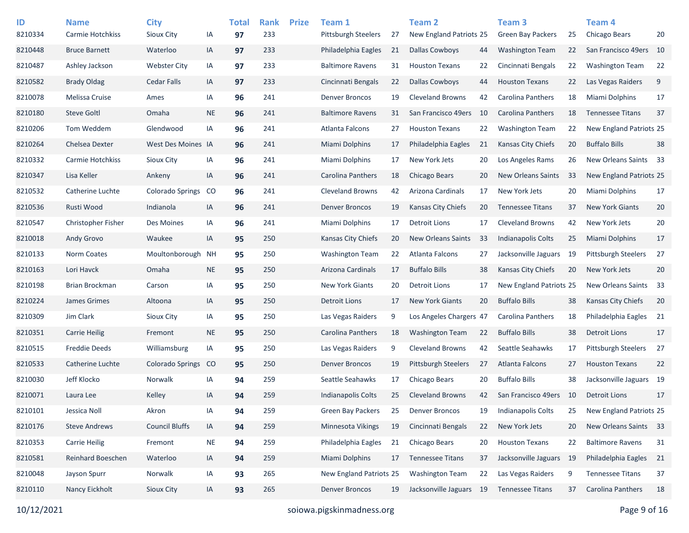| ID<br>8210334 | <b>Name</b><br><b>Carmie Hotchkiss</b> | <b>City</b><br>Sioux City | IA        | <b>Total</b><br>97 | <b>Rank</b><br>233 | <b>Prize</b> | Team 1<br><b>Pittsburgh Steelers</b> | 27 | <b>Team 2</b><br>New England Patriots 25 |    | Team <sub>3</sub><br><b>Green Bay Packers</b> | 25  | Team <sub>4</sub><br>Chicago Bears | 20 |
|---------------|----------------------------------------|---------------------------|-----------|--------------------|--------------------|--------------|--------------------------------------|----|------------------------------------------|----|-----------------------------------------------|-----|------------------------------------|----|
| 8210448       | <b>Bruce Barnett</b>                   | Waterloo                  | IA        | 97                 | 233                |              | Philadelphia Eagles                  | 21 | <b>Dallas Cowboys</b>                    | 44 | <b>Washington Team</b>                        | 22  | San Francisco 49ers                | 10 |
| 8210487       | Ashley Jackson                         | <b>Webster City</b>       | IA        | 97                 | 233                |              | <b>Baltimore Ravens</b>              | 31 | <b>Houston Texans</b>                    | 22 | Cincinnati Bengals                            | 22  | <b>Washington Team</b>             | 22 |
| 8210582       | <b>Brady Oldag</b>                     | <b>Cedar Falls</b>        | IA        | 97                 | 233                |              | Cincinnati Bengals                   | 22 | <b>Dallas Cowboys</b>                    | 44 | <b>Houston Texans</b>                         | 22  | Las Vegas Raiders                  | 9  |
| 8210078       | Melissa Cruise                         | Ames                      | IA        | 96                 | 241                |              | <b>Denver Broncos</b>                | 19 | <b>Cleveland Browns</b>                  | 42 | Carolina Panthers                             | 18  | Miami Dolphins                     | 17 |
| 8210180       | <b>Steve Goltl</b>                     | Omaha                     | <b>NE</b> | 96                 | 241                |              | <b>Baltimore Ravens</b>              | 31 | San Francisco 49ers                      | 10 | Carolina Panthers                             | 18  | <b>Tennessee Titans</b>            | 37 |
| 8210206       | Tom Weddem                             | Glendwood                 | IA        | 96                 | 241                |              | Atlanta Falcons                      | 27 | <b>Houston Texans</b>                    | 22 | <b>Washington Team</b>                        | 22  | New England Patriots 25            |    |
| 8210264       | Chelsea Dexter                         | West Des Moines IA        |           | 96                 | 241                |              | <b>Miami Dolphins</b>                | 17 | Philadelphia Eagles                      | 21 | Kansas City Chiefs                            | 20  | <b>Buffalo Bills</b>               | 38 |
| 8210332       | Carmie Hotchkiss                       | Sioux City                | IA        | 96                 | 241                |              | <b>Miami Dolphins</b>                | 17 | New York Jets                            | 20 | Los Angeles Rams                              | 26  | New Orleans Saints                 | 33 |
| 8210347       | Lisa Keller                            | Ankeny                    | IA        | 96                 | 241                |              | Carolina Panthers                    | 18 | Chicago Bears                            | 20 | <b>New Orleans Saints</b>                     | 33  | New England Patriots 25            |    |
| 8210532       | Catherine Luchte                       | <b>Colorado Springs</b>   | CO        | 96                 | 241                |              | <b>Cleveland Browns</b>              | 42 | Arizona Cardinals                        | 17 | New York Jets                                 | 20  | Miami Dolphins                     | 17 |
| 8210536       | Rusti Wood                             | Indianola                 | IA        | 96                 | 241                |              | <b>Denver Broncos</b>                | 19 | Kansas City Chiefs                       | 20 | <b>Tennessee Titans</b>                       | 37  | New York Giants                    | 20 |
| 8210547       | Christopher Fisher                     | Des Moines                | IA        | 96                 | 241                |              | Miami Dolphins                       | 17 | <b>Detroit Lions</b>                     | 17 | <b>Cleveland Browns</b>                       | 42  | New York Jets                      | 20 |
| 8210018       | Andy Grovo                             | Waukee                    | IA        | 95                 | 250                |              | Kansas City Chiefs                   | 20 | <b>New Orleans Saints</b>                | 33 | Indianapolis Colts                            | 25  | <b>Miami Dolphins</b>              | 17 |
| 8210133       | Norm Coates                            | Moultonborough            | ΝH        | 95                 | 250                |              | Washington Team                      | 22 | <b>Atlanta Falcons</b>                   | 27 | Jacksonville Jaguars                          | -19 | <b>Pittsburgh Steelers</b>         | 27 |
| 8210163       | Lori Havck                             | Omaha                     | $\sf NE$  | 95                 | 250                |              | Arizona Cardinals                    | 17 | <b>Buffalo Bills</b>                     | 38 | Kansas City Chiefs                            | 20  | New York Jets                      | 20 |
| 8210198       | Brian Brockman                         | Carson                    | IA        | 95                 | 250                |              | New York Giants                      | 20 | Detroit Lions                            | 17 | New England Patriots 25                       |     | New Orleans Saints                 | 33 |
| 8210224       | James Grimes                           | Altoona                   | IA        | 95                 | 250                |              | <b>Detroit Lions</b>                 | 17 | <b>New York Giants</b>                   | 20 | <b>Buffalo Bills</b>                          | 38  | Kansas City Chiefs                 | 20 |
| 8210309       | Jim Clark                              | Sioux City                | IA        | 95                 | 250                |              | Las Vegas Raiders                    | 9  | Los Angeles Chargers 47                  |    | Carolina Panthers                             | 18  | Philadelphia Eagles                | 21 |
| 8210351       | <b>Carrie Heilig</b>                   | Fremont                   | NE.       | 95                 | 250                |              | Carolina Panthers                    | 18 | <b>Washington Team</b>                   | 22 | <b>Buffalo Bills</b>                          | 38  | <b>Detroit Lions</b>               | 17 |
| 8210515       | <b>Freddie Deeds</b>                   | Williamsburg              | IA        | 95                 | 250                |              | Las Vegas Raiders                    | 9  | <b>Cleveland Browns</b>                  | 42 | Seattle Seahawks                              | 17  | Pittsburgh Steelers                | 27 |
| 8210533       | Catherine Luchte                       | <b>Colorado Springs</b>   | CO        | 95                 | 250                |              | <b>Denver Broncos</b>                | 19 | <b>Pittsburgh Steelers</b>               | 27 | Atlanta Falcons                               | 27  | <b>Houston Texans</b>              | 22 |
| 8210030       | Jeff Klocko                            | Norwalk                   | IA        | 94                 | 259                |              | Seattle Seahawks                     | 17 | Chicago Bears                            | 20 | <b>Buffalo Bills</b>                          | 38  | Jacksonville Jaguars 19            |    |
| 8210071       | Laura Lee                              | Kelley                    | IA        | 94                 | 259                |              | Indianapolis Colts                   | 25 | <b>Cleveland Browns</b>                  | 42 | San Francisco 49ers                           | 10  | <b>Detroit Lions</b>               | 17 |
| 8210101       | Jessica Noll                           | Akron                     | IA        | 94                 | 259                |              | <b>Green Bay Packers</b>             | 25 | <b>Denver Broncos</b>                    | 19 | Indianapolis Colts                            | 25  | New England Patriots 25            |    |
| 8210176       | <b>Steve Andrews</b>                   | <b>Council Bluffs</b>     | IA        | 94                 | 259                |              | Minnesota Vikings                    | 19 | Cincinnati Bengals                       | 22 | New York Jets                                 | 20  | New Orleans Saints 33              |    |
| 8210353       | <b>Carrie Heilig</b>                   | Fremont                   | <b>NE</b> | 94                 | 259                |              | Philadelphia Eagles                  | 21 | Chicago Bears                            | 20 | <b>Houston Texans</b>                         | 22  | <b>Baltimore Ravens</b>            | 31 |
| 8210581       | Reinhard Boeschen                      | Waterloo                  | IA        | 94                 | 259                |              | Miami Dolphins                       | 17 | <b>Tennessee Titans</b>                  | 37 | Jacksonville Jaguars 19                       |     | Philadelphia Eagles                | 21 |
| 8210048       | Jayson Spurr                           | Norwalk                   | IA        | 93                 | 265                |              | New England Patriots 25              |    | <b>Washington Team</b>                   | 22 | Las Vegas Raiders                             | 9   | <b>Tennessee Titans</b>            | 37 |
| 8210110       | Nancy Eickholt                         | Sioux City                | IA        | 93                 | 265                |              | <b>Denver Broncos</b>                | 19 | Jacksonville Jaguars 19                  |    | <b>Tennessee Titans</b>                       | 37  | Carolina Panthers                  | 18 |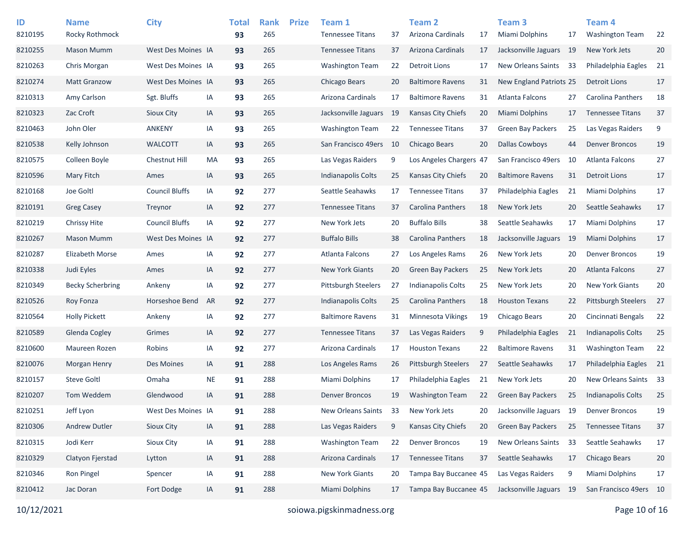| ID<br>8210195 | <b>Name</b><br>Rocky Rothmock | <b>City</b>           |           | <b>Total</b><br>93 | <b>Rank</b><br>265 | <b>Prize</b> | Team 1<br><b>Tennessee Titans</b> | 37 | Team <sub>2</sub><br>Arizona Cardinals | 17 | Team <sub>3</sub><br>Miami Dolphins | 17  | Team 4<br><b>Washington Team</b> | 22   |
|---------------|-------------------------------|-----------------------|-----------|--------------------|--------------------|--------------|-----------------------------------|----|----------------------------------------|----|-------------------------------------|-----|----------------------------------|------|
| 8210255       | <b>Mason Mumm</b>             | West Des Moines IA    |           | 93                 | 265                |              | <b>Tennessee Titans</b>           | 37 | Arizona Cardinals                      | 17 | Jacksonville Jaguars 19             |     | New York Jets                    | 20   |
| 8210263       | Chris Morgan                  | West Des Moines IA    |           | 93                 | 265                |              | <b>Washington Team</b>            | 22 | <b>Detroit Lions</b>                   | 17 | New Orleans Saints                  | -33 | Philadelphia Eagles              | 21   |
| 8210274       | <b>Matt Granzow</b>           | West Des Moines IA    |           | 93                 | 265                |              | Chicago Bears                     | 20 | <b>Baltimore Ravens</b>                | 31 | New England Patriots 25             |     | <b>Detroit Lions</b>             | 17   |
| 8210313       | Amy Carlson                   | Sgt. Bluffs           | IA        | 93                 | 265                |              | Arizona Cardinals                 | 17 | <b>Baltimore Ravens</b>                | 31 | Atlanta Falcons                     | 27  | Carolina Panthers                | 18   |
| 8210323       | Zac Croft                     | Sioux City            | IA        | 93                 | 265                |              | Jacksonville Jaguars              | 19 | Kansas City Chiefs                     | 20 | Miami Dolphins                      | 17  | <b>Tennessee Titans</b>          | 37   |
| 8210463       | John Oler                     | <b>ANKENY</b>         | IA        | 93                 | 265                |              | <b>Washington Team</b>            | 22 | <b>Tennessee Titans</b>                | 37 | <b>Green Bay Packers</b>            | 25  | Las Vegas Raiders                | 9    |
| 8210538       | Kelly Johnson                 | <b>WALCOTT</b>        | IA        | 93                 | 265                |              | San Francisco 49ers               | 10 | Chicago Bears                          | 20 | <b>Dallas Cowboys</b>               | 44  | <b>Denver Broncos</b>            | 19   |
| 8210575       | Colleen Boyle                 | Chestnut Hill         | MA        | 93                 | 265                |              | Las Vegas Raiders                 | 9  | Los Angeles Chargers 47                |    | San Francisco 49ers                 | -10 | Atlanta Falcons                  | 27   |
| 8210596       | Mary Fitch                    | Ames                  | IA        | 93                 | 265                |              | <b>Indianapolis Colts</b>         | 25 | Kansas City Chiefs                     | 20 | <b>Baltimore Ravens</b>             | 31  | <b>Detroit Lions</b>             | 17   |
| 8210168       | Joe Goltl                     | <b>Council Bluffs</b> | IA        | 92                 | 277                |              | Seattle Seahawks                  | 17 | <b>Tennessee Titans</b>                | 37 | Philadelphia Eagles                 | 21  | Miami Dolphins                   | 17   |
| 8210191       | <b>Greg Casey</b>             | Treynor               | IA        | 92                 | 277                |              | <b>Tennessee Titans</b>           | 37 | Carolina Panthers                      | 18 | New York Jets                       | 20  | Seattle Seahawks                 | 17   |
| 8210219       | Chrissy Hite                  | <b>Council Bluffs</b> | IA        | 92                 | 277                |              | New York Jets                     | 20 | <b>Buffalo Bills</b>                   | 38 | Seattle Seahawks                    | 17  | Miami Dolphins                   | 17   |
| 8210267       | Mason Mumm                    | West Des Moines IA    |           | 92                 | 277                |              | <b>Buffalo Bills</b>              | 38 | Carolina Panthers                      | 18 | Jacksonville Jaguars                | -19 | Miami Dolphins                   | 17   |
| 8210287       | <b>Elizabeth Morse</b>        | Ames                  | IA        | 92                 | 277                |              | Atlanta Falcons                   | 27 | Los Angeles Rams                       | 26 | New York Jets                       | 20  | <b>Denver Broncos</b>            | 19   |
| 8210338       | Judi Eyles                    | Ames                  | IA        | 92                 | 277                |              | <b>New York Giants</b>            | 20 | <b>Green Bay Packers</b>               | 25 | New York Jets                       | 20  | <b>Atlanta Falcons</b>           | 27   |
| 8210349       | <b>Becky Scherbring</b>       | Ankeny                | IA        | 92                 | 277                |              | Pittsburgh Steelers               | 27 | Indianapolis Colts                     | 25 | New York Jets                       | 20  | <b>New York Giants</b>           | 20   |
| 8210526       | Roy Fonza                     | Horseshoe Bend        | AR        | 92                 | 277                |              | <b>Indianapolis Colts</b>         | 25 | Carolina Panthers                      | 18 | <b>Houston Texans</b>               | 22  | Pittsburgh Steelers              | 27   |
| 8210564       | <b>Holly Pickett</b>          | Ankeny                | IA        | 92                 | 277                |              | <b>Baltimore Ravens</b>           | 31 | Minnesota Vikings                      | 19 | Chicago Bears                       | 20  | Cincinnati Bengals               | 22   |
| 8210589       | Glenda Cogley                 | Grimes                | IA        | 92                 | 277                |              | <b>Tennessee Titans</b>           | 37 | Las Vegas Raiders                      | 9  | Philadelphia Eagles                 | 21  | <b>Indianapolis Colts</b>        | 25   |
| 8210600       | Maureen Rozen                 | Robins                | IA        | 92                 | 277                |              | Arizona Cardinals                 | 17 | <b>Houston Texans</b>                  | 22 | <b>Baltimore Ravens</b>             | 31  | <b>Washington Team</b>           | 22   |
| 8210076       | <b>Morgan Henry</b>           | Des Moines            | IA        | 91                 | 288                |              | Los Angeles Rams                  | 26 | <b>Pittsburgh Steelers</b>             | 27 | Seattle Seahawks                    | 17  | Philadelphia Eagles              | - 21 |
| 8210157       | <b>Steve Goltl</b>            | Omaha                 | <b>NE</b> | 91                 | 288                |              | <b>Miami Dolphins</b>             | 17 | Philadelphia Eagles                    | 21 | New York Jets                       | 20  | New Orleans Saints               | 33   |
| 8210207       | Tom Weddem                    | Glendwood             | IA        | 91                 | 288                |              | <b>Denver Broncos</b>             | 19 | <b>Washington Team</b>                 | 22 | <b>Green Bay Packers</b>            | 25  | <b>Indianapolis Colts</b>        | 25   |
| 8210251       | Jeff Lyon                     | West Des Moines IA    |           | 91                 | 288                |              | New Orleans Saints                | 33 | New York Jets                          | 20 | Jacksonville Jaguars 19             |     | <b>Denver Broncos</b>            | 19   |
| 8210306       | Andrew Dutler                 | Sioux City            | IA        | 91                 | 288                |              | Las Vegas Raiders                 | 9  | Kansas City Chiefs                     | 20 | Green Bay Packers                   | 25  | <b>Tennessee Titans</b>          | 37   |
| 8210315       | Jodi Kerr                     | Sioux City            | IA        | 91                 | 288                |              | <b>Washington Team</b>            | 22 | <b>Denver Broncos</b>                  | 19 | New Orleans Saints                  | 33  | Seattle Seahawks                 | 17   |
| 8210329       | Clatyon Fjerstad              | Lytton                | IA        | 91                 | 288                |              | Arizona Cardinals                 | 17 | <b>Tennessee Titans</b>                | 37 | Seattle Seahawks                    | 17  | Chicago Bears                    | 20   |
| 8210346       | Ron Pingel                    | Spencer               | IA        | 91                 | 288                |              | <b>New York Giants</b>            | 20 | Tampa Bay Buccanee 45                  |    | Las Vegas Raiders                   | 9   | Miami Dolphins                   | 17   |
| 8210412       | Jac Doran                     | Fort Dodge            | IA        | 91                 | 288                |              | <b>Miami Dolphins</b>             | 17 | Tampa Bay Buccanee 45                  |    | Jacksonville Jaguars 19             |     | San Francisco 49ers 10           |      |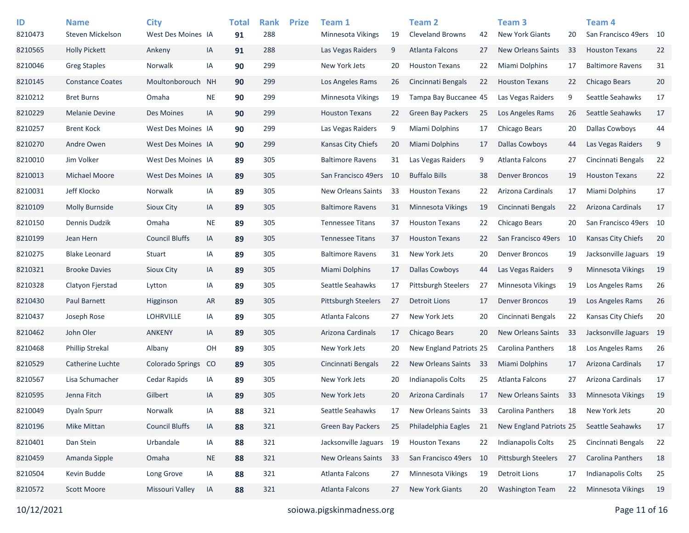| ID<br>8210473 | <b>Name</b><br>Steven Mickelson | <b>City</b><br>West Des Moines IA |           | <b>Total</b><br>91 | <b>Rank</b><br>288 | <b>Prize</b> | Team 1<br><b>Minnesota Vikings</b> | 19 | <b>Team 2</b><br><b>Cleveland Browns</b> | 42   | Team <sub>3</sub><br><b>New York Giants</b> | 20   | Team <sub>4</sub><br>San Francisco 49ers 10 |    |
|---------------|---------------------------------|-----------------------------------|-----------|--------------------|--------------------|--------------|------------------------------------|----|------------------------------------------|------|---------------------------------------------|------|---------------------------------------------|----|
| 8210565       | <b>Holly Pickett</b>            | Ankeny                            | IA        | 91                 | 288                |              | Las Vegas Raiders                  | 9  | Atlanta Falcons                          | 27   | <b>New Orleans Saints</b>                   | 33   | <b>Houston Texans</b>                       | 22 |
| 8210046       | <b>Greg Staples</b>             | Norwalk                           | IA        | 90                 | 299                |              | New York Jets                      | 20 | <b>Houston Texans</b>                    | 22   | Miami Dolphins                              | 17   | <b>Baltimore Ravens</b>                     | 31 |
| 8210145       | <b>Constance Coates</b>         | Moultonborouch                    | <b>NH</b> | 90                 | 299                |              | Los Angeles Rams                   | 26 | Cincinnati Bengals                       | 22   | <b>Houston Texans</b>                       | 22   | <b>Chicago Bears</b>                        | 20 |
| 8210212       | <b>Bret Burns</b>               | Omaha                             | <b>NE</b> | 90                 | 299                |              | <b>Minnesota Vikings</b>           | 19 | Tampa Bay Buccanee 45                    |      | Las Vegas Raiders                           | 9    | Seattle Seahawks                            | 17 |
| 8210229       | <b>Melanie Devine</b>           | Des Moines                        | IA        | 90                 | 299                |              | <b>Houston Texans</b>              | 22 | <b>Green Bay Packers</b>                 | 25   | Los Angeles Rams                            | 26   | Seattle Seahawks                            | 17 |
| 8210257       | <b>Brent Kock</b>               | West Des Moines IA                |           | 90                 | 299                |              | Las Vegas Raiders                  | 9  | Miami Dolphins                           | 17   | Chicago Bears                               | 20   | <b>Dallas Cowboys</b>                       | 44 |
| 8210270       | Andre Owen                      | West Des Moines IA                |           | 90                 | 299                |              | Kansas City Chiefs                 | 20 | Miami Dolphins                           | 17   | <b>Dallas Cowboys</b>                       | 44   | Las Vegas Raiders                           | 9  |
| 8210010       | Jim Volker                      | West Des Moines IA                |           | 89                 | 305                |              | <b>Baltimore Ravens</b>            | 31 | Las Vegas Raiders                        | 9    | <b>Atlanta Falcons</b>                      | 27   | Cincinnati Bengals                          | 22 |
| 8210013       | Michael Moore                   | West Des Moines IA                |           | 89                 | 305                |              | San Francisco 49ers                | 10 | <b>Buffalo Bills</b>                     | 38   | <b>Denver Broncos</b>                       | 19   | <b>Houston Texans</b>                       | 22 |
| 8210031       | Jeff Klocko                     | Norwalk                           | IA        | 89                 | 305                |              | <b>New Orleans Saints</b>          | 33 | <b>Houston Texans</b>                    | 22   | Arizona Cardinals                           | 17   | Miami Dolphins                              | 17 |
| 8210109       | <b>Molly Burnside</b>           | Sioux City                        | IA        | 89                 | 305                |              | <b>Baltimore Ravens</b>            | 31 | Minnesota Vikings                        | 19   | Cincinnati Bengals                          | 22   | Arizona Cardinals                           | 17 |
| 8210150       | Dennis Dudzik                   | Omaha                             | <b>NE</b> | 89                 | 305                |              | <b>Tennessee Titans</b>            | 37 | <b>Houston Texans</b>                    | 22   | Chicago Bears                               | 20   | San Francisco 49ers 10                      |    |
| 8210199       | Jean Hern                       | <b>Council Bluffs</b>             | IA        | 89                 | 305                |              | <b>Tennessee Titans</b>            | 37 | <b>Houston Texans</b>                    | 22   | San Francisco 49ers                         | - 10 | <b>Kansas City Chiefs</b>                   | 20 |
| 8210275       | <b>Blake Leonard</b>            | Stuart                            | IA        | 89                 | 305                |              | <b>Baltimore Ravens</b>            | 31 | New York Jets                            | 20   | <b>Denver Broncos</b>                       | 19   | Jacksonville Jaguars 19                     |    |
| 8210321       | <b>Brooke Davies</b>            | Sioux City                        | IA        | 89                 | 305                |              | <b>Miami Dolphins</b>              | 17 | <b>Dallas Cowboys</b>                    | 44   | Las Vegas Raiders                           | 9    | <b>Minnesota Vikings</b>                    | 19 |
| 8210328       | Clatyon Fjerstad                | Lytton                            | IA        | 89                 | 305                |              | Seattle Seahawks                   | 17 | <b>Pittsburgh Steelers</b>               | 27   | Minnesota Vikings                           | 19   | Los Angeles Rams                            | 26 |
| 8210430       | Paul Barnett                    | Higginson                         | <b>AR</b> | 89                 | 305                |              | <b>Pittsburgh Steelers</b>         | 27 | Detroit Lions                            | 17   | <b>Denver Broncos</b>                       | 19   | Los Angeles Rams                            | 26 |
| 8210437       | Joseph Rose                     | <b>LOHRVILLE</b>                  | IA        | 89                 | 305                |              | Atlanta Falcons                    | 27 | New York Jets                            | 20   | Cincinnati Bengals                          | 22   | Kansas City Chiefs                          | 20 |
| 8210462       | John Oler                       | <b>ANKENY</b>                     | IA        | 89                 | 305                |              | Arizona Cardinals                  | 17 | Chicago Bears                            | 20   | <b>New Orleans Saints</b>                   | 33   | Jacksonville Jaguars 19                     |    |
| 8210468       | <b>Phillip Strekal</b>          | Albany                            | OH        | 89                 | 305                |              | New York Jets                      | 20 | New England Patriots 25                  |      | Carolina Panthers                           | 18   | Los Angeles Rams                            | 26 |
| 8210529       | Catherine Luchte                | <b>Colorado Springs</b>           | CO        | 89                 | 305                |              | Cincinnati Bengals                 | 22 | <b>New Orleans Saints</b>                | 33   | Miami Dolphins                              | 17   | Arizona Cardinals                           | 17 |
| 8210567       | Lisa Schumacher                 | Cedar Rapids                      | IA        | 89                 | 305                |              | New York Jets                      | 20 | Indianapolis Colts                       | 25   | <b>Atlanta Falcons</b>                      | 27   | Arizona Cardinals                           | 17 |
| 8210595       | Jenna Fitch                     | Gilbert                           | IA        | 89                 | 305                |              | New York Jets                      | 20 | Arizona Cardinals                        | 17   | New Orleans Saints                          | 33   | <b>Minnesota Vikings</b>                    | 19 |
| 8210049       | <b>Dyaln Spurr</b>              | Norwalk                           | IA        | 88                 | 321                |              | Seattle Seahawks                   | 17 | New Orleans Saints                       | 33   | Carolina Panthers                           | 18   | New York Jets                               | 20 |
| 8210196       | <b>Mike Mittan</b>              | <b>Council Bluffs</b>             | IA        | 88                 | 321                |              | Green Bay Packers                  | 25 | Philadelphia Eagles                      | 21   | New England Patriots 25                     |      | Seattle Seahawks                            | 17 |
| 8210401       | Dan Stein                       | Urbandale                         | IA        | 88                 | 321                |              | Jacksonville Jaguars               | 19 | <b>Houston Texans</b>                    | 22   | Indianapolis Colts                          | 25   | Cincinnati Bengals                          | 22 |
| 8210459       | Amanda Sipple                   | Omaha                             | <b>NE</b> | 88                 | 321                |              | New Orleans Saints                 | 33 | San Francisco 49ers                      | - 10 | Pittsburgh Steelers                         | 27   | Carolina Panthers                           | 18 |
| 8210504       | Kevin Budde                     | Long Grove                        | IA        | 88                 | 321                |              | Atlanta Falcons                    | 27 | Minnesota Vikings                        | 19   | <b>Detroit Lions</b>                        | 17   | <b>Indianapolis Colts</b>                   | 25 |
| 8210572       | Scott Moore                     | Missouri Valley                   | IA        | 88                 | 321                |              | Atlanta Falcons                    | 27 | New York Giants                          | 20   | <b>Washington Team</b>                      | 22   | Minnesota Vikings                           | 19 |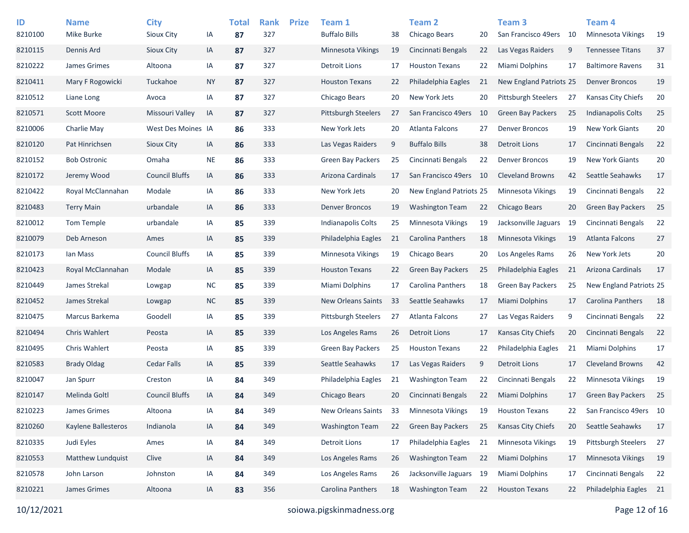| ID<br>8210100 | <b>Name</b><br>Mike Burke | <b>City</b><br>Sioux City | IA        | <b>Total</b><br>87 | <b>Rank</b><br>327 | <b>Prize</b> | Team 1<br><b>Buffalo Bills</b> | 38 | <b>Team 2</b><br>Chicago Bears | 20   | Team <sub>3</sub><br>San Francisco 49ers | - 10 | Team <sub>4</sub><br><b>Minnesota Vikings</b> | 19 |
|---------------|---------------------------|---------------------------|-----------|--------------------|--------------------|--------------|--------------------------------|----|--------------------------------|------|------------------------------------------|------|-----------------------------------------------|----|
| 8210115       | Dennis Ard                | Sioux City                | IA        | 87                 | 327                |              | <b>Minnesota Vikings</b>       | 19 | Cincinnati Bengals             | 22   | Las Vegas Raiders                        | 9    | <b>Tennessee Titans</b>                       | 37 |
| 8210222       | James Grimes              | Altoona                   | IA        | 87                 | 327                |              | <b>Detroit Lions</b>           | 17 | <b>Houston Texans</b>          | 22   | <b>Miami Dolphins</b>                    | 17   | <b>Baltimore Ravens</b>                       | 31 |
| 8210411       | Mary F Rogowicki          | Tuckahoe                  | <b>NY</b> | 87                 | 327                |              | <b>Houston Texans</b>          | 22 | Philadelphia Eagles            | 21   | New England Patriots 25                  |      | <b>Denver Broncos</b>                         | 19 |
| 8210512       | Liane Long                | Avoca                     | IA        | 87                 | 327                |              | Chicago Bears                  | 20 | New York Jets                  | 20   | <b>Pittsburgh Steelers</b>               | 27   | Kansas City Chiefs                            | 20 |
| 8210571       | <b>Scott Moore</b>        | Missouri Valley           | IA        | 87                 | 327                |              | Pittsburgh Steelers            | 27 | San Francisco 49ers            | 10   | <b>Green Bay Packers</b>                 | 25   | <b>Indianapolis Colts</b>                     | 25 |
| 8210006       | Charlie May               | West Des Moines IA        |           | 86                 | 333                |              | New York Jets                  | 20 | Atlanta Falcons                | 27   | <b>Denver Broncos</b>                    | 19   | <b>New York Giants</b>                        | 20 |
| 8210120       | Pat Hinrichsen            | Sioux City                | IA        | 86                 | 333                |              | Las Vegas Raiders              | 9  | <b>Buffalo Bills</b>           | 38   | <b>Detroit Lions</b>                     | 17   | Cincinnati Bengals                            | 22 |
| 8210152       | <b>Bob Ostronic</b>       | Omaha                     | <b>NE</b> | 86                 | 333                |              | <b>Green Bay Packers</b>       | 25 | Cincinnati Bengals             | 22   | <b>Denver Broncos</b>                    | 19   | <b>New York Giants</b>                        | 20 |
| 8210172       | Jeremy Wood               | <b>Council Bluffs</b>     | IA        | 86                 | 333                |              | Arizona Cardinals              | 17 | San Francisco 49ers            | - 10 | <b>Cleveland Browns</b>                  | 42   | Seattle Seahawks                              | 17 |
| 8210422       | Royal McClannahan         | Modale                    | IA        | 86                 | 333                |              | New York Jets                  | 20 | New England Patriots 25        |      | <b>Minnesota Vikings</b>                 | 19   | Cincinnati Bengals                            | 22 |
| 8210483       | <b>Terry Main</b>         | urbandale                 | IA        | 86                 | 333                |              | <b>Denver Broncos</b>          | 19 | <b>Washington Team</b>         | 22   | Chicago Bears                            | 20   | <b>Green Bay Packers</b>                      | 25 |
| 8210012       | Tom Temple                | urbandale                 | IA        | 85                 | 339                |              | Indianapolis Colts             | 25 | Minnesota Vikings              | 19   | Jacksonville Jaguars                     | 19   | Cincinnati Bengals                            | 22 |
| 8210079       | Deb Arneson               | Ames                      | IA        | 85                 | 339                |              | Philadelphia Eagles            | 21 | Carolina Panthers              | 18   | <b>Minnesota Vikings</b>                 | 19   | Atlanta Falcons                               | 27 |
| 8210173       | Ian Mass                  | <b>Council Bluffs</b>     | IA        | 85                 | 339                |              | <b>Minnesota Vikings</b>       | 19 | Chicago Bears                  | 20   | Los Angeles Rams                         | 26   | New York Jets                                 | 20 |
| 8210423       | Royal McClannahan         | Modale                    | IA        | 85                 | 339                |              | <b>Houston Texans</b>          | 22 | <b>Green Bay Packers</b>       | 25   | Philadelphia Eagles                      | 21   | Arizona Cardinals                             | 17 |
| 8210449       | James Strekal             | Lowgap                    | <b>NC</b> | 85                 | 339                |              | Miami Dolphins                 | 17 | <b>Carolina Panthers</b>       | 18   | <b>Green Bay Packers</b>                 | 25   | New England Patriots 25                       |    |
| 8210452       | James Strekal             | Lowgap                    | <b>NC</b> | 85                 | 339                |              | New Orleans Saints             | 33 | Seattle Seahawks               | 17   | Miami Dolphins                           | 17   | Carolina Panthers                             | 18 |
| 8210475       | Marcus Barkema            | Goodell                   | IA        | 85                 | 339                |              | <b>Pittsburgh Steelers</b>     | 27 | Atlanta Falcons                | 27   | Las Vegas Raiders                        | 9    | Cincinnati Bengals                            | 22 |
| 8210494       | <b>Chris Wahlert</b>      | Peosta                    | IA        | 85                 | 339                |              | Los Angeles Rams               | 26 | Detroit Lions                  | 17   | Kansas City Chiefs                       | 20   | Cincinnati Bengals                            | 22 |
| 8210495       | <b>Chris Wahlert</b>      | Peosta                    | IA        | 85                 | 339                |              | <b>Green Bay Packers</b>       | 25 | <b>Houston Texans</b>          | 22   | Philadelphia Eagles                      | 21   | Miami Dolphins                                | 17 |
| 8210583       | <b>Brady Oldag</b>        | Cedar Falls               | IA        | 85                 | 339                |              | Seattle Seahawks               | 17 | Las Vegas Raiders              | 9    | <b>Detroit Lions</b>                     | 17   | <b>Cleveland Browns</b>                       | 42 |
| 8210047       | Jan Spurr                 | Creston                   | IA        | 84                 | 349                |              | Philadelphia Eagles            | 21 | <b>Washington Team</b>         | 22   | Cincinnati Bengals                       | 22   | <b>Minnesota Vikings</b>                      | 19 |
| 8210147       | Melinda Goltl             | <b>Council Bluffs</b>     | IA        | 84                 | 349                |              | Chicago Bears                  | 20 | Cincinnati Bengals             | 22   | Miami Dolphins                           | 17   | <b>Green Bay Packers</b>                      | 25 |
| 8210223       | James Grimes              | Altoona                   | IA        | 84                 | 349                |              | New Orleans Saints             | 33 | Minnesota Vikings              | 19   | <b>Houston Texans</b>                    | 22   | San Francisco 49ers 10                        |    |
| 8210260       | Kaylene Ballesteros       | Indianola                 | IA        | 84                 | 349                |              | <b>Washington Team</b>         | 22 | <b>Green Bay Packers</b>       | 25   | Kansas City Chiefs                       | 20   | Seattle Seahawks                              | 17 |
| 8210335       | Judi Eyles                | Ames                      | IA        | 84                 | 349                |              | <b>Detroit Lions</b>           | 17 | Philadelphia Eagles            | 21   | Minnesota Vikings                        | 19   | Pittsburgh Steelers                           | 27 |
| 8210553       | Matthew Lundquist         | Clive                     | IA        | 84                 | 349                |              | Los Angeles Rams               | 26 | <b>Washington Team</b>         | 22   | <b>Miami Dolphins</b>                    | 17   | Minnesota Vikings                             | 19 |
| 8210578       | John Larson               | Johnston                  | IA        | 84                 | 349                |              | Los Angeles Rams               | 26 | Jacksonville Jaguars           | 19   | Miami Dolphins                           | 17   | Cincinnati Bengals                            | 22 |
| 8210221       | James Grimes              | Altoona                   | IA        | 83                 | 356                |              | Carolina Panthers              | 18 | <b>Washington Team</b>         | 22   | <b>Houston Texans</b>                    | 22   | Philadelphia Eagles 21                        |    |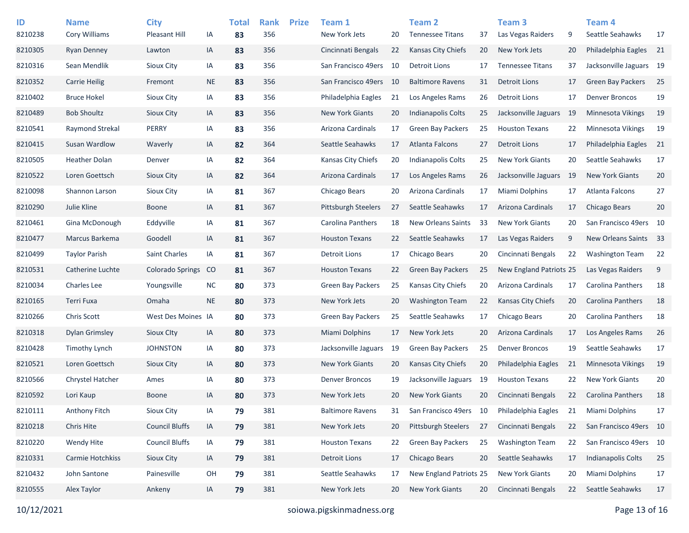| ID      | <b>Name</b>          | <b>City</b>             |           | <b>Total</b> | <b>Rank</b> | <b>Prize</b> | Team 1                     |    | <b>Team 2</b>             |     | Team <sub>3</sub>       |    | Team 4                   |      |
|---------|----------------------|-------------------------|-----------|--------------|-------------|--------------|----------------------------|----|---------------------------|-----|-------------------------|----|--------------------------|------|
| 8210238 | <b>Cory Williams</b> | Pleasant Hill           | IA        | 83           | 356         |              | New York Jets              | 20 | <b>Tennessee Titans</b>   | 37  | Las Vegas Raiders       | 9  | Seattle Seahawks         | 17   |
| 8210305 | <b>Ryan Denney</b>   | Lawton                  | IA        | 83           | 356         |              | Cincinnati Bengals         | 22 | Kansas City Chiefs        | 20  | New York Jets           | 20 | Philadelphia Eagles      | 21   |
| 8210316 | Sean Mendlik         | Sioux City              | IA        | 83           | 356         |              | San Francisco 49ers        | 10 | Detroit Lions             | 17  | <b>Tennessee Titans</b> | 37 | Jacksonville Jaguars 19  |      |
| 8210352 | <b>Carrie Heilig</b> | Fremont                 | <b>NE</b> | 83           | 356         |              | San Francisco 49ers        | 10 | <b>Baltimore Ravens</b>   | 31  | <b>Detroit Lions</b>    | 17 | <b>Green Bay Packers</b> | 25   |
| 8210402 | <b>Bruce Hokel</b>   | Sioux City              | IA        | 83           | 356         |              | Philadelphia Eagles        | 21 | Los Angeles Rams          | 26  | <b>Detroit Lions</b>    | 17 | <b>Denver Broncos</b>    | 19   |
| 8210489 | <b>Bob Shoultz</b>   | Sioux City              | IA        | 83           | 356         |              | <b>New York Giants</b>     | 20 | Indianapolis Colts        | 25  | Jacksonville Jaguars    | 19 | Minnesota Vikings        | 19   |
| 8210541 | Raymond Strekal      | PERRY                   | IA        | 83           | 356         |              | Arizona Cardinals          | 17 | <b>Green Bay Packers</b>  | 25  | <b>Houston Texans</b>   | 22 | Minnesota Vikings        | 19   |
| 8210415 | Susan Wardlow        | Waverly                 | IA        | 82           | 364         |              | Seattle Seahawks           | 17 | Atlanta Falcons           | 27  | <b>Detroit Lions</b>    | 17 | Philadelphia Eagles      | - 21 |
| 8210505 | <b>Heather Dolan</b> | Denver                  | IA        | 82           | 364         |              | Kansas City Chiefs         | 20 | Indianapolis Colts        | 25  | New York Giants         | 20 | Seattle Seahawks         | 17   |
| 8210522 | Loren Goettsch       | Sioux City              | IA        | 82           | 364         |              | Arizona Cardinals          | 17 | Los Angeles Rams          | 26  | Jacksonville Jaguars    | 19 | <b>New York Giants</b>   | 20   |
| 8210098 | Shannon Larson       | Sioux City              | IA        | 81           | 367         |              | Chicago Bears              | 20 | Arizona Cardinals         | 17  | Miami Dolphins          | 17 | Atlanta Falcons          | 27   |
| 8210290 | Julie Kline          | <b>Boone</b>            | IA        | 81           | 367         |              | <b>Pittsburgh Steelers</b> | 27 | Seattle Seahawks          | 17  | Arizona Cardinals       | 17 | Chicago Bears            | 20   |
| 8210461 | Gina McDonough       | Eddyville               | IA        | 81           | 367         |              | Carolina Panthers          | 18 | <b>New Orleans Saints</b> | 33  | <b>New York Giants</b>  | 20 | San Francisco 49ers 10   |      |
| 8210477 | Marcus Barkema       | Goodell                 | IA        | 81           | 367         |              | <b>Houston Texans</b>      | 22 | Seattle Seahawks          | 17  | Las Vegas Raiders       | 9  | New Orleans Saints       | 33   |
| 8210499 | <b>Taylor Parish</b> | Saint Charles           | IA        | 81           | 367         |              | <b>Detroit Lions</b>       | 17 | Chicago Bears             | 20  | Cincinnati Bengals      | 22 | <b>Washington Team</b>   | 22   |
| 8210531 | Catherine Luchte     | <b>Colorado Springs</b> | CO        | 81           | 367         |              | <b>Houston Texans</b>      | 22 | <b>Green Bay Packers</b>  | 25  | New England Patriots 25 |    | Las Vegas Raiders        | 9    |
| 8210034 | <b>Charles Lee</b>   | Youngsville             | <b>NC</b> | 80           | 373         |              | <b>Green Bay Packers</b>   | 25 | <b>Kansas City Chiefs</b> | 20  | Arizona Cardinals       | 17 | <b>Carolina Panthers</b> | 18   |
| 8210165 | Terri Fuxa           | Omaha                   | <b>NE</b> | 80           | 373         |              | New York Jets              | 20 | <b>Washington Team</b>    | 22  | Kansas City Chiefs      | 20 | <b>Carolina Panthers</b> | 18   |
| 8210266 | <b>Chris Scott</b>   | West Des Moines IA      |           | 80           | 373         |              | <b>Green Bay Packers</b>   | 25 | Seattle Seahawks          | 17  | Chicago Bears           | 20 | Carolina Panthers        | 18   |
| 8210318 | Dylan Grimsley       | Sioux City              | IA        | 80           | 373         |              | Miami Dolphins             | 17 | New York Jets             | 20  | Arizona Cardinals       | 17 | Los Angeles Rams         | 26   |
| 8210428 | Timothy Lynch        | <b>JOHNSTON</b>         | IA        | 80           | 373         |              | Jacksonville Jaguars       | 19 | <b>Green Bay Packers</b>  | 25  | <b>Denver Broncos</b>   | 19 | Seattle Seahawks         | 17   |
| 8210521 | Loren Goettsch       | Sioux City              | IA        | 80           | 373         |              | <b>New York Giants</b>     | 20 | <b>Kansas City Chiefs</b> | 20  | Philadelphia Eagles     | 21 | <b>Minnesota Vikings</b> | 19   |
| 8210566 | Chrystel Hatcher     | Ames                    | IA        | 80           | 373         |              | <b>Denver Broncos</b>      | 19 | Jacksonville Jaguars      | -19 | <b>Houston Texans</b>   | 22 | <b>New York Giants</b>   | 20   |
| 8210592 | Lori Kaup            | <b>Boone</b>            | IA        | 80           | 373         |              | New York Jets              | 20 | <b>New York Giants</b>    | 20  | Cincinnati Bengals      | 22 | <b>Carolina Panthers</b> | 18   |
| 8210111 | Anthony Fitch        | Sioux City              | IA        | 79           | 381         |              | <b>Baltimore Ravens</b>    | 31 | San Francisco 49ers 10    |     | Philadelphia Eagles     | 21 | Miami Dolphins           | 17   |
| 8210218 | Chris Hite           | <b>Council Bluffs</b>   | IA        | 79           | 381         |              | New York Jets              | 20 | Pittsburgh Steelers       | 27  | Cincinnati Bengals      | 22 | San Francisco 49ers 10   |      |
| 8210220 | Wendy Hite           | <b>Council Bluffs</b>   | IA        | 79           | 381         |              | <b>Houston Texans</b>      | 22 | Green Bay Packers         | 25  | <b>Washington Team</b>  | 22 | San Francisco 49ers 10   |      |
| 8210331 | Carmie Hotchkiss     | Sioux City              | IA        | 79           | 381         |              | <b>Detroit Lions</b>       | 17 | Chicago Bears             | 20  | Seattle Seahawks        | 17 | Indianapolis Colts       | 25   |
| 8210432 | John Santone         | Painesville             | OH        | 79           | 381         |              | Seattle Seahawks           | 17 | New England Patriots 25   |     | New York Giants         | 20 | Miami Dolphins           | 17   |
| 8210555 | Alex Taylor          | Ankeny                  | IA        | 79           | 381         |              | New York Jets              | 20 | New York Giants           | 20  | Cincinnati Bengals      | 22 | Seattle Seahawks         | 17   |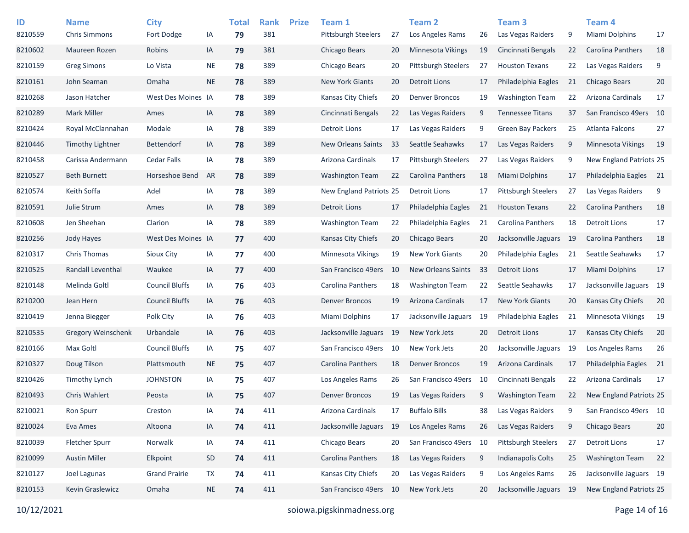| ID<br>8210559 | <b>Name</b><br><b>Chris Simmons</b> | <b>City</b><br>Fort Dodge | IA        | <b>Total</b><br>79 | <b>Rank</b><br>381 | <b>Prize</b> | Team 1<br><b>Pittsburgh Steelers</b> | 27  | Team 2<br>Los Angeles Rams | 26 | Team <sub>3</sub><br>Las Vegas Raiders | 9   | Team 4<br><b>Miami Dolphins</b> | 17 |
|---------------|-------------------------------------|---------------------------|-----------|--------------------|--------------------|--------------|--------------------------------------|-----|----------------------------|----|----------------------------------------|-----|---------------------------------|----|
| 8210602       | Maureen Rozen                       | Robins                    | IA        | 79                 | 381                |              | Chicago Bears                        | 20  | <b>Minnesota Vikings</b>   | 19 | Cincinnati Bengals                     | 22  | Carolina Panthers               | 18 |
| 8210159       | <b>Greg Simons</b>                  | Lo Vista                  | NE        | 78                 | 389                |              | Chicago Bears                        | 20  | <b>Pittsburgh Steelers</b> | 27 | <b>Houston Texans</b>                  | 22  | Las Vegas Raiders               | 9  |
| 8210161       | John Seaman                         | Omaha                     | <b>NE</b> | 78                 | 389                |              | <b>New York Giants</b>               | 20  | Detroit Lions              | 17 | Philadelphia Eagles                    | 21  | <b>Chicago Bears</b>            | 20 |
| 8210268       | Jason Hatcher                       | West Des Moines IA        |           | 78                 | 389                |              | Kansas City Chiefs                   | 20  | <b>Denver Broncos</b>      | 19 | <b>Washington Team</b>                 | 22  | Arizona Cardinals               | 17 |
| 8210289       | <b>Mark Miller</b>                  | Ames                      | IA        | 78                 | 389                |              | Cincinnati Bengals                   | 22  | Las Vegas Raiders          | 9  | <b>Tennessee Titans</b>                | 37  | San Francisco 49ers             | 10 |
| 8210424       | Royal McClannahan                   | Modale                    | IA        | 78                 | 389                |              | Detroit Lions                        | 17  | Las Vegas Raiders          | 9  | <b>Green Bay Packers</b>               | 25  | Atlanta Falcons                 | 27 |
| 8210446       | <b>Timothy Lightner</b>             | <b>Bettendorf</b>         | IA        | 78                 | 389                |              | New Orleans Saints                   | 33  | Seattle Seahawks           | 17 | Las Vegas Raiders                      | 9   | <b>Minnesota Vikings</b>        | 19 |
| 8210458       | Carissa Andermann                   | <b>Cedar Falls</b>        | IA        | 78                 | 389                |              | Arizona Cardinals                    | 17  | <b>Pittsburgh Steelers</b> | 27 | Las Vegas Raiders                      | 9   | New England Patriots 25         |    |
| 8210527       | <b>Beth Burnett</b>                 | Horseshoe Bend            | AR        | 78                 | 389                |              | <b>Washington Team</b>               | 22  | Carolina Panthers          | 18 | <b>Miami Dolphins</b>                  | 17  | Philadelphia Eagles             | 21 |
| 8210574       | Keith Soffa                         | Adel                      | IA        | 78                 | 389                |              | <b>New England Patriots 25</b>       |     | Detroit Lions              | 17 | <b>Pittsburgh Steelers</b>             | 27  | Las Vegas Raiders               | 9  |
| 8210591       | Julie Strum                         | Ames                      | IA        | 78                 | 389                |              | <b>Detroit Lions</b>                 | 17  | Philadelphia Eagles        | 21 | <b>Houston Texans</b>                  | 22  | Carolina Panthers               | 18 |
| 8210608       | Jen Sheehan                         | Clarion                   | IA        | 78                 | 389                |              | <b>Washington Team</b>               | 22  | Philadelphia Eagles        | 21 | <b>Carolina Panthers</b>               | 18  | <b>Detroit Lions</b>            | 17 |
| 8210256       | Jody Hayes                          | West Des Moines IA        |           | 77                 | 400                |              | Kansas City Chiefs                   | 20  | Chicago Bears              | 20 | Jacksonville Jaguars                   | -19 | <b>Carolina Panthers</b>        | 18 |
| 8210317       | <b>Chris Thomas</b>                 | <b>Sioux City</b>         | IA        | 77                 | 400                |              | Minnesota Vikings                    | 19  | <b>New York Giants</b>     | 20 | Philadelphia Eagles                    | 21  | Seattle Seahawks                | 17 |
| 8210525       | Randall Leventhal                   | Waukee                    | IA        | 77                 | 400                |              | San Francisco 49ers                  | 10  | <b>New Orleans Saints</b>  | 33 | <b>Detroit Lions</b>                   | 17  | Miami Dolphins                  | 17 |
| 8210148       | Melinda Goltl                       | <b>Council Bluffs</b>     | IA        | 76                 | 403                |              | Carolina Panthers                    | 18  | <b>Washington Team</b>     | 22 | Seattle Seahawks                       | 17  | Jacksonville Jaguars 19         |    |
| 8210200       | Jean Hern                           | <b>Council Bluffs</b>     | IA        | 76                 | 403                |              | <b>Denver Broncos</b>                | 19  | Arizona Cardinals          | 17 | <b>New York Giants</b>                 | 20  | <b>Kansas City Chiefs</b>       | 20 |
| 8210419       | Jenna Biegger                       | Polk City                 | IA        | 76                 | 403                |              | Miami Dolphins                       | 17  | Jacksonville Jaguars       | 19 | Philadelphia Eagles                    | 21  | <b>Minnesota Vikings</b>        | 19 |
| 8210535       | <b>Gregory Weinschenk</b>           | Urbandale                 | IA        | 76                 | 403                |              | Jacksonville Jaguars                 | -19 | New York Jets              | 20 | <b>Detroit Lions</b>                   | 17  | <b>Kansas City Chiefs</b>       | 20 |
| 8210166       | Max Goltl                           | <b>Council Bluffs</b>     | IA        | 75                 | 407                |              | San Francisco 49ers                  | 10  | New York Jets              | 20 | Jacksonville Jaguars                   | 19  | Los Angeles Rams                | 26 |
| 8210327       | Doug Tilson                         | Plattsmouth               | NE.       | 75                 | 407                |              | Carolina Panthers                    | 18  | <b>Denver Broncos</b>      | 19 | Arizona Cardinals                      | 17  | Philadelphia Eagles             | 21 |
| 8210426       | <b>Timothy Lynch</b>                | <b>JOHNSTON</b>           | IA        |                    | 407                |              | Los Angeles Rams                     | 26  | San Francisco 49ers        | 10 | Cincinnati Bengals                     | 22  | Arizona Cardinals               | 17 |
| 8210493       | <b>Chris Wahlert</b>                |                           |           | 75                 | 407                |              | <b>Denver Broncos</b>                | 19  | Las Vegas Raiders          |    |                                        |     | New England Patriots 25         |    |
|               |                                     | Peosta                    | IA        | 75                 |                    |              |                                      |     | <b>Buffalo Bills</b>       | 9  | <b>Washington Team</b>                 | 22  |                                 |    |
| 8210021       | Ron Spurr                           | Creston                   | IA        | 74                 | 411                |              | Arizona Cardinals                    | 17  |                            | 38 | Las Vegas Raiders                      | 9   | San Francisco 49ers 10          |    |
| 8210024       | Eva Ames                            | Altoona                   | IA        | 74                 | 411                |              | Jacksonville Jaguars                 | 19  | Los Angeles Rams           | 26 | Las Vegas Raiders                      | 9   | Chicago Bears                   | 20 |
| 8210039       | Fletcher Spurr                      | Norwalk                   | IA        | 74                 | 411                |              | Chicago Bears                        | 20  | San Francisco 49ers        | 10 | <b>Pittsburgh Steelers</b>             | 27  | <b>Detroit Lions</b>            | 17 |
| 8210099       | <b>Austin Miller</b>                | Elkpoint                  | SD        | 74                 | 411                |              | Carolina Panthers                    | 18  | Las Vegas Raiders          | 9  | <b>Indianapolis Colts</b>              | 25  | <b>Washington Team</b>          | 22 |
| 8210127       | Joel Lagunas                        | <b>Grand Prairie</b>      | TX        | 74                 | 411                |              | Kansas City Chiefs                   | 20  | Las Vegas Raiders          | 9  | Los Angeles Rams                       | 26  | Jacksonville Jaguars 19         |    |
| 8210153       | Kevin Graslewicz                    | Omaha                     | <b>NE</b> | 74                 | 411                |              | San Francisco 49ers                  | 10  | New York Jets              | 20 | Jacksonville Jaguars 19                |     | New England Patriots 25         |    |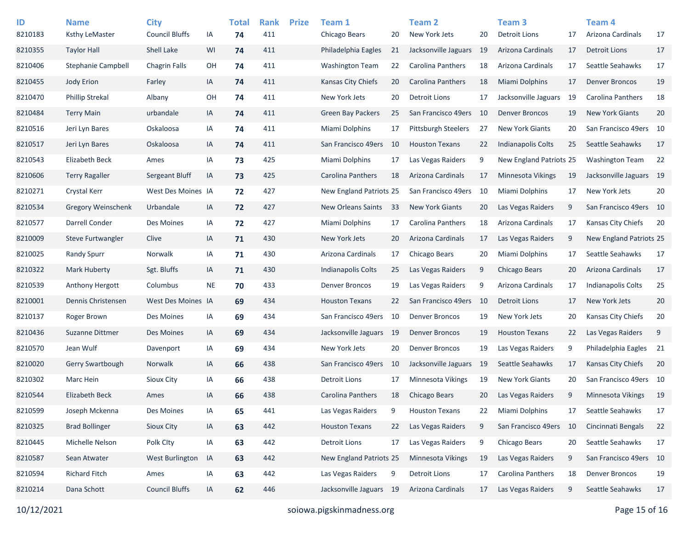| ID<br>8210183 | <b>Name</b><br>Ksthy LeMaster | <b>City</b><br><b>Council Bluffs</b> | IA        | <b>Total</b><br>74 | <b>Rank</b><br>411 | <b>Prize</b> | Team 1<br>Chicago Bears        | 20  | <b>Team 2</b><br>New York Jets | 20   | Team <sub>3</sub><br><b>Detroit Lions</b> | 17  | Team <sub>4</sub><br>Arizona Cardinals | 17 |
|---------------|-------------------------------|--------------------------------------|-----------|--------------------|--------------------|--------------|--------------------------------|-----|--------------------------------|------|-------------------------------------------|-----|----------------------------------------|----|
| 8210355       | <b>Taylor Hall</b>            | Shell Lake                           | WI        | 74                 | 411                |              | Philadelphia Eagles            | 21  | Jacksonville Jaguars           | -19  | Arizona Cardinals                         | 17  | <b>Detroit Lions</b>                   | 17 |
| 8210406       | Stephanie Campbell            | <b>Chagrin Falls</b>                 | OH        | 74                 | 411                |              | Washington Team                | 22  | <b>Carolina Panthers</b>       | 18   | Arizona Cardinals                         | 17  | Seattle Seahawks                       | 17 |
| 8210455       | Jody Erion                    | Farley                               | IA        | 74                 | 411                |              | Kansas City Chiefs             | 20  | Carolina Panthers              | 18   | <b>Miami Dolphins</b>                     | 17  | <b>Denver Broncos</b>                  | 19 |
| 8210470       | <b>Phillip Strekal</b>        | Albany                               | OH        | 74                 | 411                |              | New York Jets                  | 20  | Detroit Lions                  | 17   | Jacksonville Jaguars                      | 19  | Carolina Panthers                      | 18 |
| 8210484       | <b>Terry Main</b>             | urbandale                            | IA        | 74                 | 411                |              | <b>Green Bay Packers</b>       | 25  | San Francisco 49ers            | -10  | <b>Denver Broncos</b>                     | 19  | <b>New York Giants</b>                 | 20 |
| 8210516       | Jeri Lyn Bares                | Oskaloosa                            | IA        | 74                 | 411                |              | Miami Dolphins                 | 17  | <b>Pittsburgh Steelers</b>     | 27   | <b>New York Giants</b>                    | 20  | San Francisco 49ers 10                 |    |
| 8210517       | Jeri Lyn Bares                | Oskaloosa                            | IA        | 74                 | 411                |              | San Francisco 49ers            | 10  | <b>Houston Texans</b>          | 22   | <b>Indianapolis Colts</b>                 | 25  | Seattle Seahawks                       | 17 |
| 8210543       | Elizabeth Beck                | Ames                                 | IA        | 73                 | 425                |              | Miami Dolphins                 | 17  | Las Vegas Raiders              | 9    | New England Patriots 25                   |     | <b>Washington Team</b>                 | 22 |
| 8210606       | <b>Terry Ragaller</b>         | Sergeant Bluff                       | IA        | 73                 | 425                |              | Carolina Panthers              | 18  | Arizona Cardinals              | 17   | <b>Minnesota Vikings</b>                  | 19  | Jacksonville Jaguars 19                |    |
| 8210271       | Crystal Kerr                  | West Des Moines IA                   |           | 72                 | 427                |              | <b>New England Patriots 25</b> |     | San Francisco 49ers            | 10   | Miami Dolphins                            | 17  | New York Jets                          | 20 |
| 8210534       | <b>Gregory Weinschenk</b>     | Urbandale                            | IA        | 72                 | 427                |              | New Orleans Saints             | 33  | <b>New York Giants</b>         | 20   | Las Vegas Raiders                         | 9   | San Francisco 49ers 10                 |    |
| 8210577       | Darrell Conder                | Des Moines                           | IA        | 72                 | 427                |              | Miami Dolphins                 | 17  | <b>Carolina Panthers</b>       | 18   | Arizona Cardinals                         | 17  | Kansas City Chiefs                     | 20 |
| 8210009       | Steve Furtwangler             | Clive                                | IA        | 71                 | 430                |              | New York Jets                  | 20  | <b>Arizona Cardinals</b>       | 17   | Las Vegas Raiders                         | 9   | New England Patriots 25                |    |
| 8210025       | <b>Randy Spurr</b>            | Norwalk                              | IA        | 71                 | 430                |              | Arizona Cardinals              | 17  | Chicago Bears                  | 20   | Miami Dolphins                            | 17  | Seattle Seahawks                       | 17 |
| 8210322       | Mark Huberty                  | Sgt. Bluffs                          | IA        | 71                 | 430                |              | <b>Indianapolis Colts</b>      | 25  | Las Vegas Raiders              | 9    | Chicago Bears                             | 20  | Arizona Cardinals                      | 17 |
| 8210539       | Anthony Hergott               | Columbus                             | <b>NE</b> | 70                 | 433                |              | <b>Denver Broncos</b>          | 19  | Las Vegas Raiders              | 9    | Arizona Cardinals                         | 17  | <b>Indianapolis Colts</b>              | 25 |
| 8210001       | Dennis Christensen            | West Des Moines IA                   |           | 69                 | 434                |              | <b>Houston Texans</b>          | 22  | San Francisco 49ers            | - 10 | <b>Detroit Lions</b>                      | 17  | New York Jets                          | 20 |
| 8210137       | Roger Brown                   | Des Moines                           | IA        | 69                 | 434                |              | San Francisco 49ers            | 10  | <b>Denver Broncos</b>          | 19   | New York Jets                             | 20  | Kansas City Chiefs                     | 20 |
| 8210436       | Suzanne Dittmer               | Des Moines                           | IA        | 69                 | 434                |              | Jacksonville Jaguars           | -19 | <b>Denver Broncos</b>          | 19   | <b>Houston Texans</b>                     | 22  | Las Vegas Raiders                      | 9  |
| 8210570       | Jean Wulf                     | Davenport                            | IA        | 69                 | 434                |              | New York Jets                  | 20  | <b>Denver Broncos</b>          | 19   | Las Vegas Raiders                         | 9   | Philadelphia Eagles                    | 21 |
| 8210020       | Gerry Swartbough              | Norwalk                              | IA        | 66                 | 438                |              | San Francisco 49ers            | 10  | Jacksonville Jaguars           | -19  | Seattle Seahawks                          | 17  | <b>Kansas City Chiefs</b>              | 20 |
| 8210302       | Marc Hein                     | <b>Sioux City</b>                    | IA        | 66                 | 438                |              | <b>Detroit Lions</b>           | 17  | Minnesota Vikings              | 19   | <b>New York Giants</b>                    | 20  | San Francisco 49ers 10                 |    |
| 8210544       | Elizabeth Beck                | Ames                                 | IA        | 66                 | 438                |              | <b>Carolina Panthers</b>       | 18  | Chicago Bears                  | 20   | Las Vegas Raiders                         | 9   | <b>Minnesota Vikings</b>               | 19 |
| 8210599       | Joseph Mckenna                | Des Moines                           | IA        | 65                 | 441                |              | Las Vegas Raiders              | 9   | <b>Houston Texans</b>          | 22   | Miami Dolphins                            | 17  | Seattle Seahawks                       | 17 |
| 8210325       | <b>Brad Bollinger</b>         | Sioux City                           | IA        | 63                 | 442                |              | <b>Houston Texans</b>          | 22  | Las Vegas Raiders              | 9    | San Francisco 49ers                       | -10 | Cincinnati Bengals                     | 22 |
| 8210445       | Michelle Nelson               | Polk Clty                            | IA        | 63                 | 442                |              | <b>Detroit Lions</b>           | 17  | Las Vegas Raiders              | 9    | Chicago Bears                             | 20  | Seattle Seahawks                       | 17 |
| 8210587       | Sean Atwater                  | West Burlington                      | IA        | 63                 | 442                |              | New England Patriots 25        |     | Minnesota Vikings              | 19   | Las Vegas Raiders                         | 9   | San Francisco 49ers 10                 |    |
| 8210594       | <b>Richard Fitch</b>          | Ames                                 | IA        | 63                 | 442                |              | Las Vegas Raiders              | 9   | Detroit Lions                  | 17   | Carolina Panthers                         | 18  | <b>Denver Broncos</b>                  | 19 |
| 8210214       | Dana Schott                   | <b>Council Bluffs</b>                | IA        | 62                 | 446                |              | Jacksonville Jaguars 19        |     | Arizona Cardinals              | 17   | Las Vegas Raiders                         | 9   | Seattle Seahawks                       | 17 |
|               |                               |                                      |           |                    |                    |              |                                |     |                                |      |                                           |     |                                        |    |